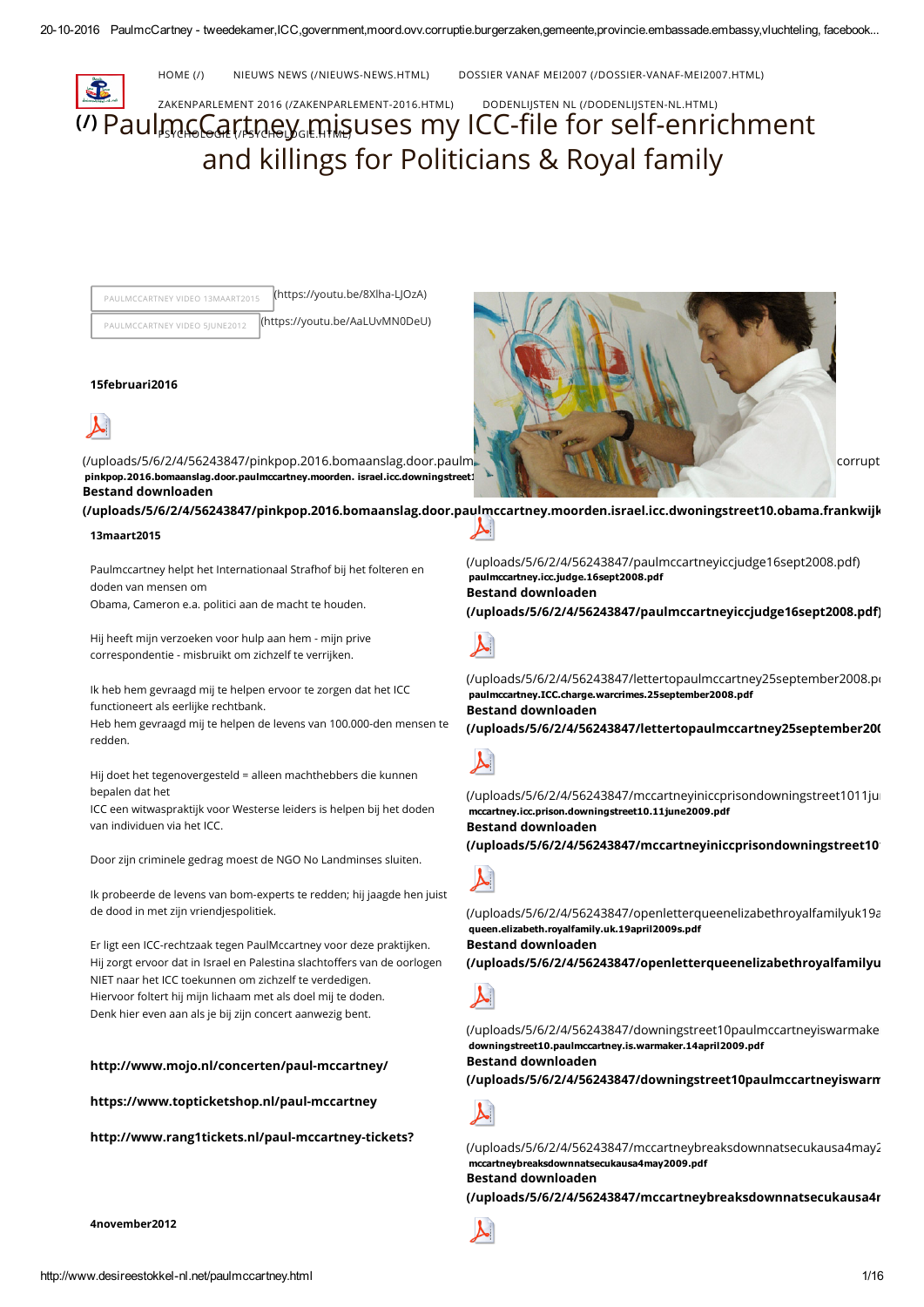

[HOME](http://www.desireestokkel-nl.net/) (/) NIEUWS NEWS [\(/NIEUWS-NEWS.HTML\)](http://www.desireestokkel-nl.net/nieuws-news.html) DOSSIER VANAF MEI2007 [\(/DOSSIER-VANAF-MEI2007.HTML\)](http://www.desireestokkel-nl.net/dossier-vanaf-mei2007.html)

# (/) [Pa](http://www.desireestokkel-nl.net/)ul<u>រូបូជូCartney ពារ</u>់នូបses my ICC-file for self-enrichment and killings for Politicians & Royal family ZAKENPARLEMENT 2016 [\(/ZAKENPARLEMENT-2016.HTML\)](http://www.desireestokkel-nl.net/zakenparlement-2016.html) DODENLIJSTEN NL [\(/DODENLIJSTEN-NL.HTML\)](http://www.desireestokkel-nl.net/dodenlijsten-nl.html)

PAULMCCARTNEY VIDEO 13MAART2015 [\(https://youtu.be/8Xlha-LJOzA\)](https://youtu.be/8Xlha-LJOzA) PAULMCCARTNEY VIDEO 5JUNE2012 [\(https://youtu.be/AaLUvMN0DeU\)](https://youtu.be/AaLUvMN0DeU)

# 15februari2016



(/uploads/5/6/2/4/56243847/pinkpop.2016.bomaanslag.door.paulmccarel.icc.dwoningstreet10.ob pinkpop.2016.bomaanslag.door.paulmccartney.moorden. israel.icc.downingstreet1 Bestand downloaden

[\(/uploads/5/6/2/4/56243847/pinkpop.2016.bomaanslag.door.paulmccartney.moorden.israel.icc.dwoningstreet10.obama.frankwijk](http://www.desireestokkel-nl.net/uploads/5/6/2/4/56243847/pinkpop.2016.bomaanslag.door.paulmccartney.moorden.israel.icc.dwoningstreet10.obama.frankwijk.corruptie.pdf)

#### 13maart2015

Paulmccartney helpt het Internationaal Strafhof bij het folteren en doden van mensen om

Obama, Cameron e.a. politici aan de macht te houden.

Hij heeft mijn verzoeken voor hulp aan hem - mijn prive correspondentie - misbruikt om zichzelf te verrijken.

Ik heb hem gevraagd mij te helpen ervoor te zorgen dat het ICC functioneert als eerlijke rechtbank.

Heb hem gevraagd mij te helpen de levens van 100.000-den mensen te redden.

Hij doet het tegenovergesteld = alleen machthebbers die kunnen bepalen dat het

ICC een witwaspraktijk voor Westerse leiders is helpen bij het doden van individuen via het ICC.

Door zijn criminele gedrag moest de NGO No Landminses sluiten.

Ik probeerde de levens van bom-experts te redden; hij jaagde hen juist de dood in met zijn vriendjespolitiek.

Er ligt een ICC-rechtzaak tegen PaulMccartney voor deze praktijken. Hij zorgt ervoor dat in Israel en Palestina slachtoffers van de oorlogen NIET naar het ICC toekunnen om zichzelf te verdedigen. Hiervoor foltert hij mijn lichaam met als doel mij te doden. Denk hier even aan als je bij zijn concert aanwezig bent.

# http://www.mojo.nl/concerten/paul-mccartney/

https://www.topticketshop.nl/paul-mccartney

http://www.rang1tickets.nl/paul-mccartney-tickets?

[\(/uploads/5/6/2/4/56243847/paulmccartneyiccjudge16sept2008.pdf\)](http://www.desireestokkel-nl.net/uploads/5/6/2/4/56243847/paulmccartneyiccjudge16sept2008.pdf) paulmccartney.icc.judge.16sept2008.pdf Bestand downloaden

[\(/uploads/5/6/2/4/56243847/paulmccartneyiccjudge16sept2008.pdf\)](http://www.desireestokkel-nl.net/uploads/5/6/2/4/56243847/paulmccartneyiccjudge16sept2008.pdf)



[\(/uploads/5/6/2/4/56243847/lettertopaulmccartney25september2008.pd](http://www.desireestokkel-nl.net/uploads/5/6/2/4/56243847/lettertopaulmccartney25september2008.pdf) paulmccartney.ICC.charge.warcrimes.25september2008.pdf Bestand downloaden

[\(/uploads/5/6/2/4/56243847/lettertopaulmccartney25september200](http://www.desireestokkel-nl.net/uploads/5/6/2/4/56243847/lettertopaulmccartney25september2008.pdf)



(/uploads/5/6/2/4/56243847/mccartneyiniccprisondowningstreet1011jul mccartney.icc.prison.downingstreet10.11june2009.pdf Bestand downloaden

(/uploads/5/6/2/4/56243847/mccartneyiniccprisondowningstreet10



[\(/uploads/5/6/2/4/56243847/openletterqueenelizabethroyalfamilyuk19a](http://www.desireestokkel-nl.net/uploads/5/6/2/4/56243847/openletterqueenelizabethroyalfamilyuk19april2009s.pdf) queen.elizabeth.royalfamily.uk.19april2009s.pdf Bestand downloaden

[\(/uploads/5/6/2/4/56243847/openletterqueenelizabethroyalfamilyu](http://www.desireestokkel-nl.net/uploads/5/6/2/4/56243847/openletterqueenelizabethroyalfamilyuk19april2009s.pdf)



[\(/uploads/5/6/2/4/56243847/downingstreet10paulmccartneyiswarmaker](http://www.desireestokkel-nl.net/uploads/5/6/2/4/56243847/downingstreet10paulmccartneyiswarmaker14april2009.pdf) downingstreet10.paulmccartney.is.warmaker.14april2009.pdf

Bestand downloaden

[\(/uploads/5/6/2/4/56243847/downingstreet10paulmccartneyiswarm](http://www.desireestokkel-nl.net/uploads/5/6/2/4/56243847/downingstreet10paulmccartneyiswarmaker14april2009.pdf)



[\(/uploads/5/6/2/4/56243847/mccartneybreaksdownnatsecukausa4may2](http://www.desireestokkel-nl.net/uploads/5/6/2/4/56243847/mccartneybreaksdownnatsecukausa4may2009.pdf) mccartneybreaksdownnatsecukausa4may2009.pdf Bestand downloaden

(/uploads/5/6/2/4/56243847/mccartneybreaksdownnatsecukausa4r



4november2012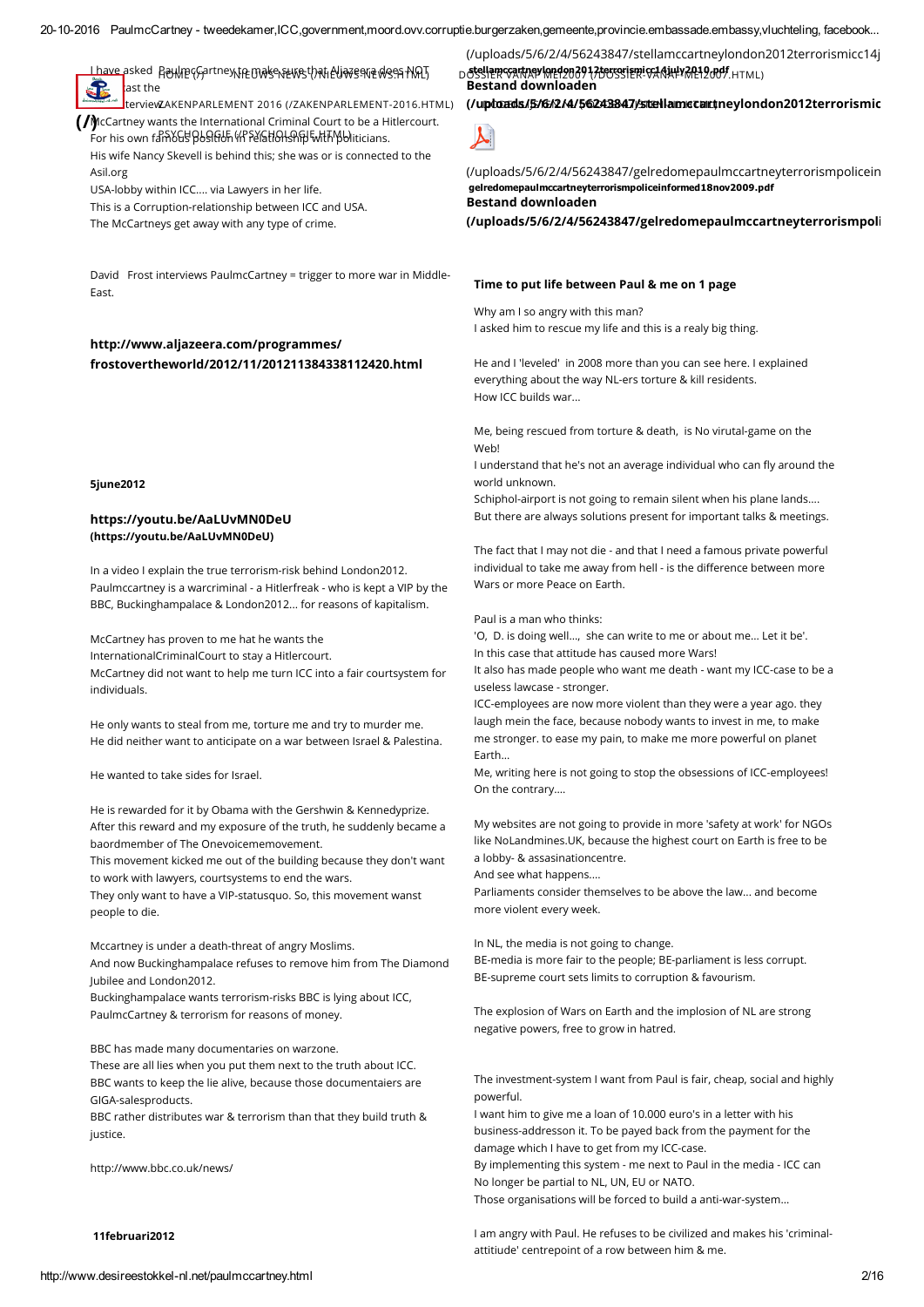

[\(/\)](http://www.desireestokkel-nl.net/) Cartney wants the International Criminal Court to be a Hitlercourt.  $\tilde{F}$ or his own fam $\delta$ Geg $\beta$ b $S$ નિર્દીન (/r $\delta$ Pel $S$ નિર્દીન $\delta$ h $\delta$ h $\delta$ b $\delta$ liticians.

His wife Nancy Skevell is behind this; she was or is connected to the Asil.org

USA-lobby within ICC.... via Lawyers in her life.

This is a Corruption-relationship between ICC and USA.

The McCartneys get away with any type of crime.

David Frost interviews PaulmcCartney = trigger to more war in Middle-East.

# http://www.aljazeera.com/programmes/ frostovertheworld/2012/11/201211384338112420.html

#### 5june2012

# <https://youtu.be/AaLUvMN0DeU> (https://youtu.be/AaLUvMN0DeU)

In a video I explain the true terrorism-risk behind London2012. Paulmccartney is a warcriminal - a Hitlerfreak - who is kept a VIP by the BBC, Buckinghampalace & London2012... for reasons of kapitalism.

McCartney has proven to me hat he wants the

InternationalCriminalCourt to stay a Hitlercourt.

McCartney did not want to help me turn ICC into a fair courtsystem for individuals.

He only wants to steal from me, torture me and try to murder me. He did neither want to anticipate on a war between Israel & Palestina.

He wanted to take sides for Israel.

He is rewarded for it by Obama with the Gershwin & Kennedyprize. After this reward and my exposure of the truth, he suddenly became a baordmember of The Onevoicememovement.

This movement kicked me out of the building because they don't want to work with lawyers, courtsystems to end the wars.

They only want to have a VIP-statusquo. So, this movement wanst people to die.

Mccartney is under a death-threat of angry Moslims.

And now Buckinghampalace refuses to remove him from The Diamond Jubilee and London2012.

Buckinghampalace wants terrorism-risks BBC is lying about ICC, PaulmcCartney & terrorism for reasons of money.

BBC has made many documentaries on warzone.

These are all lies when you put them next to the truth about ICC. BBC wants to keep the lie alive, because those documentaiers are GIGA-salesproducts.

BBC rather distributes war & terrorism than that they build truth & justice.

http://www.bbc.co.uk/news/

#### 11februari2012

[\(/uploads/5/6/2/4/56243847/stellamccartneylondon2012terrorismicc14j](http://www.desireestokkel-nl.net/uploads/5/6/2/4/56243847/stellamccartneylondon2012terrorismicc14july2010.pdf) RƏHNEGG<sup>artney</sup>NFEUWSSPEVVS:UNIFEUWSESNEWSSFAMAT D<del>ossIERPGANARYWEI20391,ZBOSSIERFGANAFYRAE12009</del>,HTML) Bestand downloaden

(/upłoads/6/6/2/4/56243847/stellamccartneylondon2012terrorismic



[\(/uploads/5/6/2/4/56243847/gelredomepaulmccartneyterrorismpolicein](http://www.desireestokkel-nl.net/uploads/5/6/2/4/56243847/gelredomepaulmccartneyterrorismpoliceinformed18nov2009.pdf) gelredomepaulmccartneyterrorismpoliceinformed18nov2009.pdf Bestand downloaden

[\(/uploads/5/6/2/4/56243847/gelredomepaulmccartneyterrorismpoli](http://www.desireestokkel-nl.net/uploads/5/6/2/4/56243847/gelredomepaulmccartneyterrorismpoliceinformed18nov2009.pdf)

# Time to put life between Paul & me on 1 page

Why am I so angry with this man? I asked him to rescue my life and this is a realy big thing.

He and I 'leveled' in 2008 more than you can see here. I explained everything about the way NL-ers torture & kill residents. How ICC builds war...

Me, being rescued from torture & death, is No virutal-game on the Web!

I understand that he's not an average individual who can fly around the world unknown.

Schiphol-airport is not going to remain silent when his plane lands.... But there are always solutions present for important talks & meetings.

The fact that I may not die - and that I need a famous private powerful individual to take me away from hell - is the difference between more Wars or more Peace on Earth.

Paul is a man who thinks:

'O, D. is doing well..., she can write to me or about me... Let it be'. In this case that attitude has caused more Wars!

It also has made people who want me death - want my ICC-case to be a useless lawcase - stronger.

ICC-employees are now more violent than they were a year ago. they laugh mein the face, because nobody wants to invest in me, to make me stronger. to ease my pain, to make me more powerful on planet Earth...

Me, writing here is not going to stop the obsessions of ICC-employees! On the contrary....

My websites are not going to provide in more 'safety at work' for NGOs like NoLandmines.UK, because the highest court on Earth is free to be a lobby- & assasinationcentre.

And see what happens....

Parliaments consider themselves to be above the law... and become more violent every week.

In NL, the media is not going to change.

BE-media is more fair to the people; BE-parliament is less corrupt. BE-supreme court sets limits to corruption & favourism.

The explosion of Wars on Earth and the implosion of NL are strong negative powers, free to grow in hatred.

The investment-system I want from Paul is fair, cheap, social and highly powerful.

I want him to give me a loan of 10.000 euro's in a letter with his business-addresson it. To be payed back from the payment for the damage which I have to get from my ICC-case.

By implementing this system - me next to Paul in the media - ICC can No longer be partial to NL, UN, EU or NATO.

Those organisations will be forced to build a anti-war-system...

I am angry with Paul. He refuses to be civilized and makes his 'criminalattitiude' centrepoint of a row between him & me.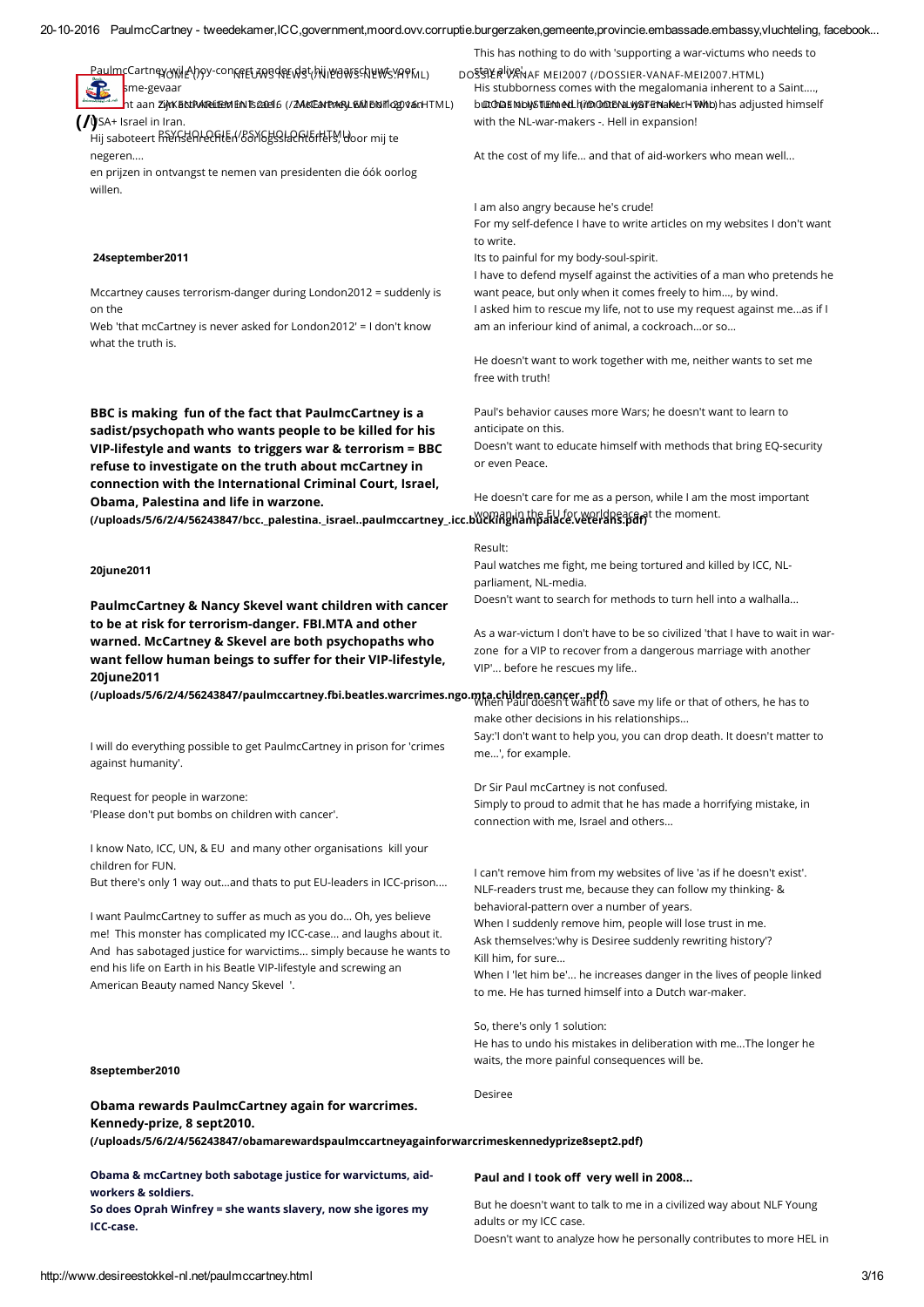|                                                                                                                                                               | This has nothing to do with 'supporting a war-victums who needs to<br>DOSSER WANAF MEI2007 (/DOSSIER-VANAF-MEI2007.HTML)             |  |
|---------------------------------------------------------------------------------------------------------------------------------------------------------------|--------------------------------------------------------------------------------------------------------------------------------------|--|
| sme-gevaar                                                                                                                                                    | His stubborness comes with the megalomania inherent to a Saint,                                                                      |  |
| ht aan ZijhK Einst Pulitein Ein Ts 2aell 6 (/ZM ok Can Praesy Lewill Bis Thoso (V ac HTM L)<br>$\left(\sqrt{3}A+1\right)$ Israel in Iran.                     | but that m by stum ed him on the war than the rH who has adjusted himself<br>with the NL-war-makers -. Hell in expansion!            |  |
| Hij saboteert her Kall Let He Kall (8816 geslacht Erfelt), door mij te                                                                                        |                                                                                                                                      |  |
| negeren<br>en prijzen in ontvangst te nemen van presidenten die óók oorlog                                                                                    | At the cost of my life and that of aid-workers who mean well                                                                         |  |
| willen.                                                                                                                                                       | I am also angry because he's crude!                                                                                                  |  |
|                                                                                                                                                               | For my self-defence I have to write articles on my websites I don't want                                                             |  |
| 24september2011                                                                                                                                               | to write.<br>Its to painful for my body-soul-spirit.                                                                                 |  |
|                                                                                                                                                               | I have to defend myself against the activities of a man who pretends he                                                              |  |
| Mccartney causes terrorism-danger during London2012 = suddenly is<br>on the                                                                                   | want peace, but only when it comes freely to him, by wind.<br>I asked him to rescue my life, not to use my request against meas if I |  |
| Web 'that mcCartney is never asked for London2012' = $1$ don't know<br>what the truth is.                                                                     | am an inferiour kind of animal, a cockroachor so                                                                                     |  |
|                                                                                                                                                               | He doesn't want to work together with me, neither wants to set me                                                                    |  |
|                                                                                                                                                               | free with truth!                                                                                                                     |  |
| BBC is making fun of the fact that PaulmcCartney is a                                                                                                         | Paul's behavior causes more Wars; he doesn't want to learn to                                                                        |  |
| sadist/psychopath who wants people to be killed for his<br>VIP-lifestyle and wants to triggers war & terrorism = BBC                                          | anticipate on this.<br>Doesn't want to educate himself with methods that bring EQ-security                                           |  |
| refuse to investigate on the truth about mcCartney in                                                                                                         | or even Peace.                                                                                                                       |  |
| connection with the International Criminal Court, Israel,                                                                                                     | He doesn't care for me as a person, while I am the most important                                                                    |  |
| Obama, Palestina and life in warzone.<br>(/uploads/5/6/2/4/56243847/bcc._palestina._israelpaulmccartney_.icc.b\\?\?inghinthe EU for worldpeace at the moment. |                                                                                                                                      |  |
|                                                                                                                                                               |                                                                                                                                      |  |
| 20june2011                                                                                                                                                    | Result:<br>Paul watches me fight, me being tortured and killed by ICC, NL-                                                           |  |
|                                                                                                                                                               | parliament, NL-media.                                                                                                                |  |
| PaulmcCartney & Nancy Skevel want children with cancer                                                                                                        | Doesn't want to search for methods to turn hell into a walhalla                                                                      |  |
| to be at risk for terrorism-danger. FBI.MTA and other<br>warned. McCartney & Skevel are both psychopaths who                                                  | As a war-victum I don't have to be so civilized 'that I have to wait in war-                                                         |  |
| want fellow human beings to suffer for their VIP-lifestyle,<br>20june2011                                                                                     | zone for a VIP to recover from a dangerous marriage with another<br>VIP' before he rescues my life                                   |  |
| (/uploads/5/6/2/4/56243847/paulmccartney.fbi.beatles.warcrimes.ngo.mta.children.cancerpdf)                                                                    |                                                                                                                                      |  |
|                                                                                                                                                               | make other decisions in his relationships                                                                                            |  |
| I will do everything possible to get PaulmcCartney in prison for 'crimes                                                                                      | Say:'I don't want to help you, you can drop death. It doesn't matter to<br>me', for example.                                         |  |
| against humanity'.                                                                                                                                            |                                                                                                                                      |  |
| Request for people in warzone:                                                                                                                                | Dr Sir Paul mcCartney is not confused.                                                                                               |  |
| 'Please don't put bombs on children with cancer'.                                                                                                             | Simply to proud to admit that he has made a horrifying mistake, in<br>connection with me, Israel and others                          |  |
| I know Nato, ICC, UN, & EU and many other organisations kill your                                                                                             |                                                                                                                                      |  |
| children for FUN.                                                                                                                                             | I can't remove him from my websites of live 'as if he doesn't exist'.                                                                |  |
| But there's only 1 way outand thats to put EU-leaders in ICC-prison                                                                                           | NLF-readers trust me, because they can follow my thinking- &                                                                         |  |
| I want PaulmcCartney to suffer as much as you do Oh, yes believe                                                                                              | behavioral-pattern over a number of years.<br>When I suddenly remove him, people will lose trust in me.                              |  |
| me! This monster has complicated my ICC-case and laughs about it.                                                                                             | Ask themselves:'why is Desiree suddenly rewriting history'?                                                                          |  |
| And has sabotaged justice for warvictims simply because he wants to<br>end his life on Earth in his Beatle VIP-lifestyle and screwing an                      | Kill him, for sure                                                                                                                   |  |
| American Beauty named Nancy Skevel '.                                                                                                                         | When I 'let him be' he increases danger in the lives of people linked<br>to me. He has turned himself into a Dutch war-maker.        |  |
|                                                                                                                                                               | So, there's only 1 solution:                                                                                                         |  |
|                                                                                                                                                               | He has to undo his mistakes in deliberation with meThe longer he                                                                     |  |
| 8september2010                                                                                                                                                | waits, the more painful consequences will be.                                                                                        |  |
| Obama rewards PaulmcCartney again for warcrimes.                                                                                                              | Desiree                                                                                                                              |  |
| Kennedy-prize, 8 sept2010.                                                                                                                                    |                                                                                                                                      |  |
| (/uploads/5/6/2/4/56243847/obamarewardspaulmccartneyagainforwarcrimeskennedyprize8sept2.pdf)                                                                  |                                                                                                                                      |  |
| Obama & mcCartney both sabotage justice for warvictums, aid-<br>workers & soldiers.                                                                           | Paul and I took off very well in 2008                                                                                                |  |
| So does Oprah Winfrey = she wants slavery, now she igores my                                                                                                  | But he doesn't want to talk to me in a civilized way about NLF Young                                                                 |  |

adults or my ICC case.

Doesn't want to analyze how he personally contributes to more HEL in

ICC-case.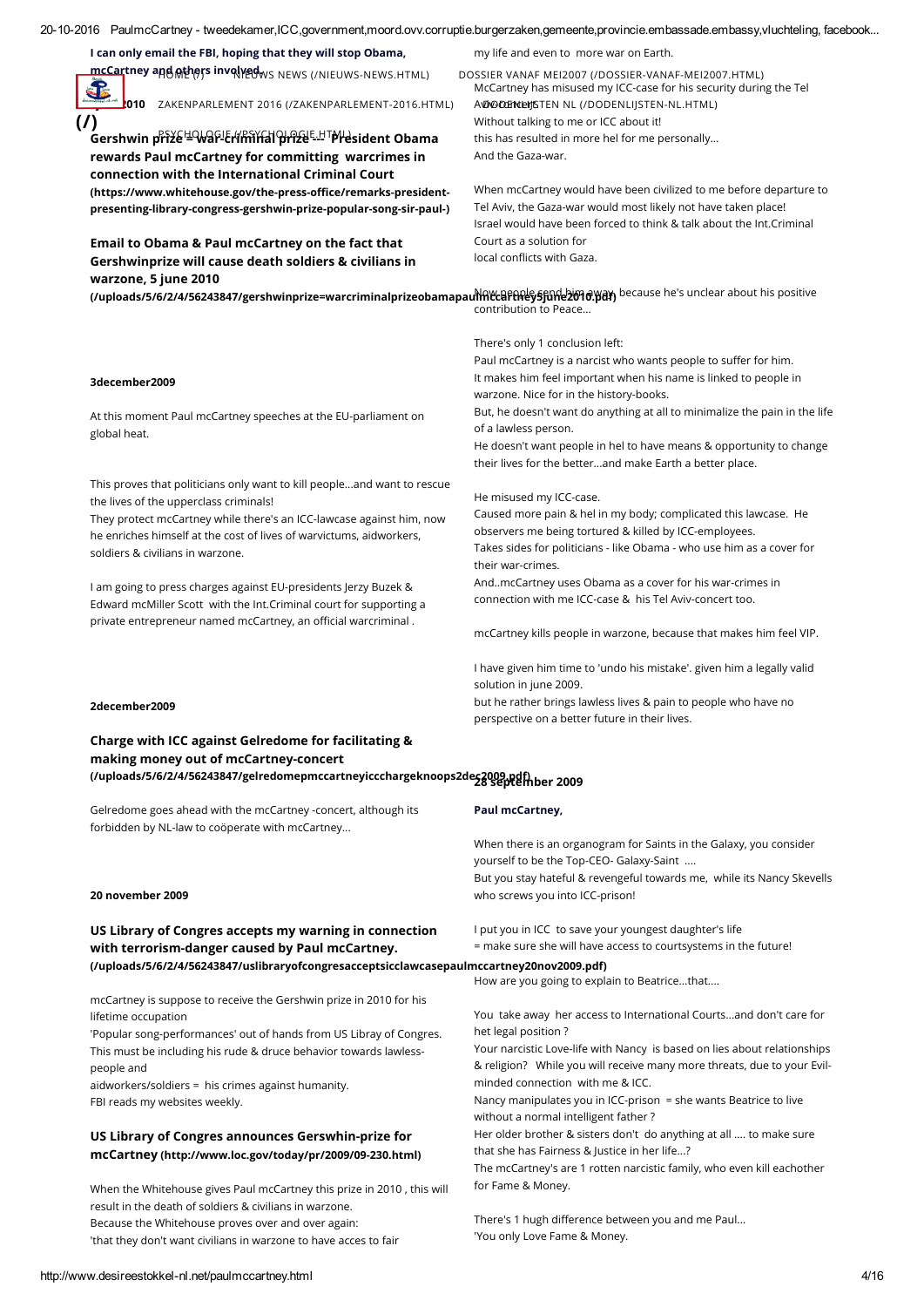I can only email the FBI, hoping that they will stop Obama, my life and even to more war on Earth. <u>mcCar</u>tney and ဂျွမ်း၉ှrs involved ws NEWS (/NIEUWS-NEWS.HTML) DOSSIER VANAF MEI2007 [\(/DOSSIER-VANAF-MEI2007.HTML\)](http://www.desireestokkel-nl.net/dossier-vanaf-mei2007.html) McCartney has misused my ICC-case for his security during the Tel 36 AVIVO COENCENTEN NL (/DODENLIJSTEN-NL.HTML) 5june2010 ZAKENPARLEMENT 2016 [\(/ZAKENPARLEMENT-2016.HTML\)](http://www.desireestokkel-nl.net/zakenparlement-2016.html) DODENLIJSTEN NL [\(/DODENLIJSTEN-NL.HTML\)](http://www.desireestokkel-nl.net/dodenlijsten-nl.html) [\(/\)](http://www.desireestokkel-nl.net/) PSYCHOLOGIE [\(/PSYCHOLOGIE.HTML\)](http://www.desireestokkel-nl.net/psychologie.html)Without talking to me or ICC about it! this has resulted in more hel for me personally... Gershwin prize = war-criminal prize --- President Obama rewards Paul mcCartney for committing warcrimes in And the Gaza-war. connection with the International Criminal Court (https://www.whitehouse.gov/the-press-office/remarks-president-When mcCartney would have been civilized to me before departure to Tel Aviv, the Gaza-war would most likely not have taken place! presenting-library-congress-gershwin-prize-popular-song-sir-paul-) Israel would have been forced to think & talk about the Int.Criminal Court as a solution for Email to Obama & Paul mcCartney on the fact that local conflicts with Gaza. Gershwinprize will cause death soldiers & civilians in warzone, 5 june 2010 (**/uploads/5/6/2/4/56243847/gershwinprize=warcriminalprizeobamapauì)<del>በ\የረበየርክ\eySfunde)ທີ່</del> and the sunclear about his positive** contribution to Peace... There's only 1 conclusion left: Paul mcCartney is a narcist who wants people to suffer for him. It makes him feel important when his name is linked to people in 3december2009 warzone. Nice for in the history-books. But, he doesn't want do anything at all to minimalize the pain in the life At this moment Paul mcCartney speeches at the EU-parliament on of a lawless person. global heat. He doesn't want people in hel to have means & opportunity to change their lives for the better...and make Earth a better place. This proves that politicians only want to kill people...and want to rescue He misused my ICC-case. the lives of the upperclass criminals! Caused more pain & hel in my body; complicated this lawcase. He They protect mcCartney while there's an ICC-lawcase against him, now observers me being tortured & killed by ICC-employees. he enriches himself at the cost of lives of warvictums, aidworkers, Takes sides for politicians - like Obama - who use him as a cover for soldiers & civilians in warzone. their war-crimes. And..mcCartney uses Obama as a cover for his war-crimes in I am going to press charges against EU-presidents Jerzy Buzek & connection with me ICC-case & his Tel Aviv-concert too. Edward mcMiller Scott with the Int.Criminal court for supporting a private entrepreneur named mcCartney, an official warcriminal . mcCartney kills people in warzone, because that makes him feel VIP. I have given him time to 'undo his mistake'. given him a legally valid solution in june 2009. but he rather brings lawless lives & pain to people who have no 2december2009 perspective on a better future in their lives. Charge with ICC against Gelredome for facilitating & making money out of mcCartney-concert [\(/uploads/5/6/2/4/56243847/gelredomepmccartneyiccchargeknoops2dec2009.pdf\)](http://www.desireestokkel-nl.net/uploads/5/6/2/4/56243847/gelredomepmccartneyiccchargeknoops2dec2009.pdf) 28 september 2009 Paul mcCartney, Gelredome goes ahead with the mcCartney -concert, although its forbidden by NL-law to coöperate with mcCartney... When there is an organogram for Saints in the Galaxy, you consider yourself to be the Top-CEO- Galaxy-Saint .... But you stay hateful & revengeful towards me, while its Nancy Skevells who screws you into ICC-prison! 20 november 2009 US Library of Congres accepts my warning in connection I put you in ICC to save your youngest daughter's life = make sure she will have access to courtsystems in the future! with terrorism-danger caused by Paul mcCartney. [\(/uploads/5/6/2/4/56243847/uslibraryofcongresacceptsicclawcasepaulmccartney20nov2009.pdf\)](http://www.desireestokkel-nl.net/uploads/5/6/2/4/56243847/uslibraryofcongresacceptsicclawcasepaulmccartney20nov2009.pdf) How are you going to explain to Beatrice...that.... mcCartney is suppose to receive the Gershwin prize in 2010 for his You take away her access to International Courts...and don't care for lifetime occupation het legal position ? 'Popular song-performances' out of hands from US Libray of Congres. This must be including his rude & druce behavior towards lawless-Your narcistic Love-life with Nancy is based on lies about relationships & religion? While you will receive many more threats, due to your Evilpeople and aidworkers/soldiers = his crimes against humanity. minded connection with me & ICC. Nancy manipulates you in ICC-prison = she wants Beatrice to live FBI reads my websites weekly. without a normal intelligent father ? Her older brother & sisters don't do anything at all .... to make sure US Library of Congres announces Gerswhin-prize for that she has Fairness & Justice in her life...?

20102016 PaulmcCartney tweedekamer,ICC,government,moord.ovv.corruptie.burgerzaken,gemeente,provincie.embassade.embassy,vluchteling, facebook...

mcCartney [\(http://www.loc.gov/today/pr/2009/09-230.html\)](http://www.loc.gov/today/pr/2009/09-230.html)

When the Whitehouse gives Paul mcCartney this prize in 2010 , this will result in the death of soldiers & civilians in warzone. Because the Whitehouse proves over and over again: 'that they don't want civilians in warzone to have acces to fair

The mcCartney's are 1 rotten narcistic family, who even kill eachother

There's 1 hugh difference between you and me Paul...

for Fame & Money.

'You only Love Fame & Money.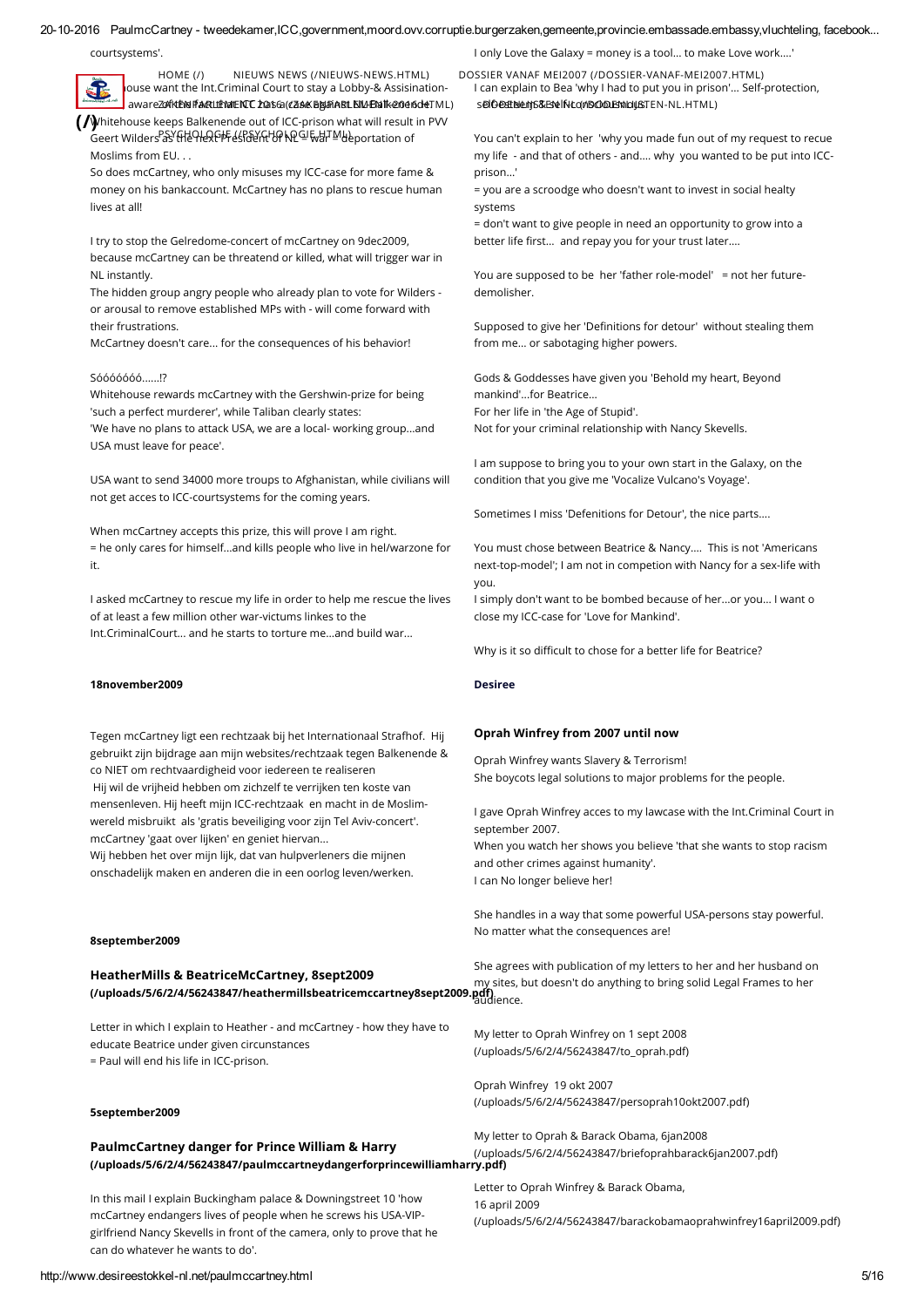courtsystems'.

**Whouse want the Int.Criminal Court to stay a Lobby-& Assisination-**

awareZOAKENENTAARLUENALENDE. DONAKEN ARLEMENT 2006 KOMMENTAREN ARLENDER ARLENDER ARLENDER ARLENDER ARLENDER ARL [\(/\)](http://www.desireestokkel-nl.net/) hitehouse keeps Balkenende out of ICC-prison what will result in PVV Geert Wilders as the HeQPIF estatin of NP의 wall Indeportation of Moslims from EU. . .

So does mcCartney, who only misuses my ICC-case for more fame & money on his bankaccount. McCartney has no plans to rescue human lives at all!

I try to stop the Gelredome-concert of mcCartney on 9dec2009, because mcCartney can be threatend or killed, what will trigger war in NL instantly.

The hidden group angry people who already plan to vote for Wilders or arousal to remove established MPs with - will come forward with their frustrations.

McCartney doesn't care... for the consequences of his behavior!

#### Sóóóóóóó......!?

Whitehouse rewards mcCartney with the Gershwin-prize for being 'such a perfect murderer', while Taliban clearly states:

'We have no plans to attack USA, we are a local- working group...and USA must leave for peace'.

USA want to send 34000 more troups to Afghanistan, while civilians will not get acces to ICC-courtsystems for the coming years.

When mcCartney accepts this prize, this will prove I am right. = he only cares for himself...and kills people who live in hel/warzone for it.

I asked mcCartney to rescue my life in order to help me rescue the lives of at least a few million other war-victums linkes to the Int.CriminalCourt... and he starts to torture me...and build war...

# 18november2009

Tegen mcCartney ligt een rechtzaak bij het Internationaal Strafhof. Hij gebruikt zijn bijdrage aan mijn websites/rechtzaak tegen Balkenende & co NIET om rechtvaardigheid voor iedereen te realiseren Hij wil de vrijheid hebben om zichzelf te verrijken ten koste van mensenleven. Hij heeft mijn ICC-rechtzaak en macht in de Moslimwereld misbruikt als 'gratis beveiliging voor zijn Tel Aviv-concert'. mcCartney 'gaat over lijken' en geniet hiervan... Wij hebben het over mijn lijk, dat van hulpverleners die mijnen

onschadelijk maken en anderen die in een oorlog leven/werken.

#### 8september2009

| <b>HeatherMills &amp; BeatriceMcCartney, 8sept2009</b>                 | She agrees w  |
|------------------------------------------------------------------------|---------------|
|                                                                        | my sites, but |
| (/uploads/5/6/2/4/56243847/heathermillsbeatricemccartney8sept2009.pdf) |               |
|                                                                        |               |
|                                                                        |               |

Letter in which I explain to Heather - and mcCartney - how they have to educate Beatrice under given circunstances = Paul will end his life in ICC-prison.

#### 5september2009

# PaulmcCartney danger for Prince William & Harry [\(/uploads/5/6/2/4/56243847/paulmccartneydangerforprincewilliamharry.pdf\)](http://www.desireestokkel-nl.net/uploads/5/6/2/4/56243847/paulmccartneydangerforprincewilliamharry.pdf)

In this mail I explain Buckingham palace & Downingstreet 10 'how mcCartney endangers lives of people when he screws his USA-VIPgirlfriend Nancy Skevells in front of the camera, only to prove that he can do whatever he wants to do'.

http://www.desireestokkel-nl.net/paulmccartney.html 5/16

I only Love the Galaxy = money is a tool... to make Love work....'

I can explain to Bea 'why I had to put you in prison'... Self-protection, selGestelt/s& self-ktd m schoolsnous.TEN-NL.HTML) [HOME](http://www.desireestokkel-nl.net/) (/) NIEUWS NEWS [\(/NIEUWS-NEWS.HTML\)](http://www.desireestokkel-nl.net/nieuws-news.html) DOSSIER VANAF MEI2007 [\(/DOSSIER-VANAF-MEI2007.HTML\)](http://www.desireestokkel-nl.net/dossier-vanaf-mei2007.html)

> You can't explain to her 'why you made fun out of my request to recue my life - and that of others - and.... why you wanted to be put into ICCprison...

= you are a scroodge who doesn't want to invest in social healty systems

= don't want to give people in need an opportunity to grow into a better life first... and repay you for your trust later....

You are supposed to be her 'father role-model' = not her futuredemolisher.

Supposed to give her 'Definitions for detour' without stealing them from me... or sabotaging higher powers.

Gods & Goddesses have given you 'Behold my heart, Beyond mankind'...for Beatrice... For her life in 'the Age of Stupid'. Not for your criminal relationship with Nancy Skevells.

I am suppose to bring you to your own start in the Galaxy, on the condition that you give me 'Vocalize Vulcano's Voyage'.

Sometimes I miss 'Defenitions for Detour', the nice parts....

You must chose between Beatrice & Nancy.... This is not 'Americans next-top-model'; I am not in competion with Nancy for a sex-life with you.

I simply don't want to be bombed because of her...or you... I want o close my ICC-case for 'Love for Mankind'.

Why is it so difficult to chose for a better life for Beatrice?

# Desiree

#### Oprah Winfrey from 2007 until now

Oprah Winfrey wants Slavery & Terrorism! She boycots legal solutions to major problems for the people.

I gave Oprah Winfrey acces to my lawcase with the Int.Criminal Court in september 2007. When you watch her shows you believe 'that she wants to stop racism and other crimes against humanity'. I can No longer believe her!

She handles in a way that some powerful USA-persons stay powerful. No matter what the consequences are!

ith publication of my letters to her and her husband on doesn't do anything to bring solid Legal Frames to her

My letter to Oprah Winfrey on 1 sept 2008 [\(/uploads/5/6/2/4/56243847/to\\_oprah.pdf\)](http://www.desireestokkel-nl.net/uploads/5/6/2/4/56243847/to_oprah.pdf)

Oprah Winfrey 19 okt 2007 [\(/uploads/5/6/2/4/56243847/persoprah10okt2007.pdf\)](http://www.desireestokkel-nl.net/uploads/5/6/2/4/56243847/persoprah10okt2007.pdf)

My letter to Oprah & Barack Obama, 6jan2008 [\(/uploads/5/6/2/4/56243847/briefoprahbarack6jan2007.pdf\)](http://www.desireestokkel-nl.net/uploads/5/6/2/4/56243847/briefoprahbarack6jan2007.pdf)

Letter to Oprah Winfrey & Barack Obama, 16 april 2009 [\(/uploads/5/6/2/4/56243847/barackobamaoprahwinfrey16april2009.pdf\)](http://www.desireestokkel-nl.net/uploads/5/6/2/4/56243847/barackobamaoprahwinfrey16april2009.pdf)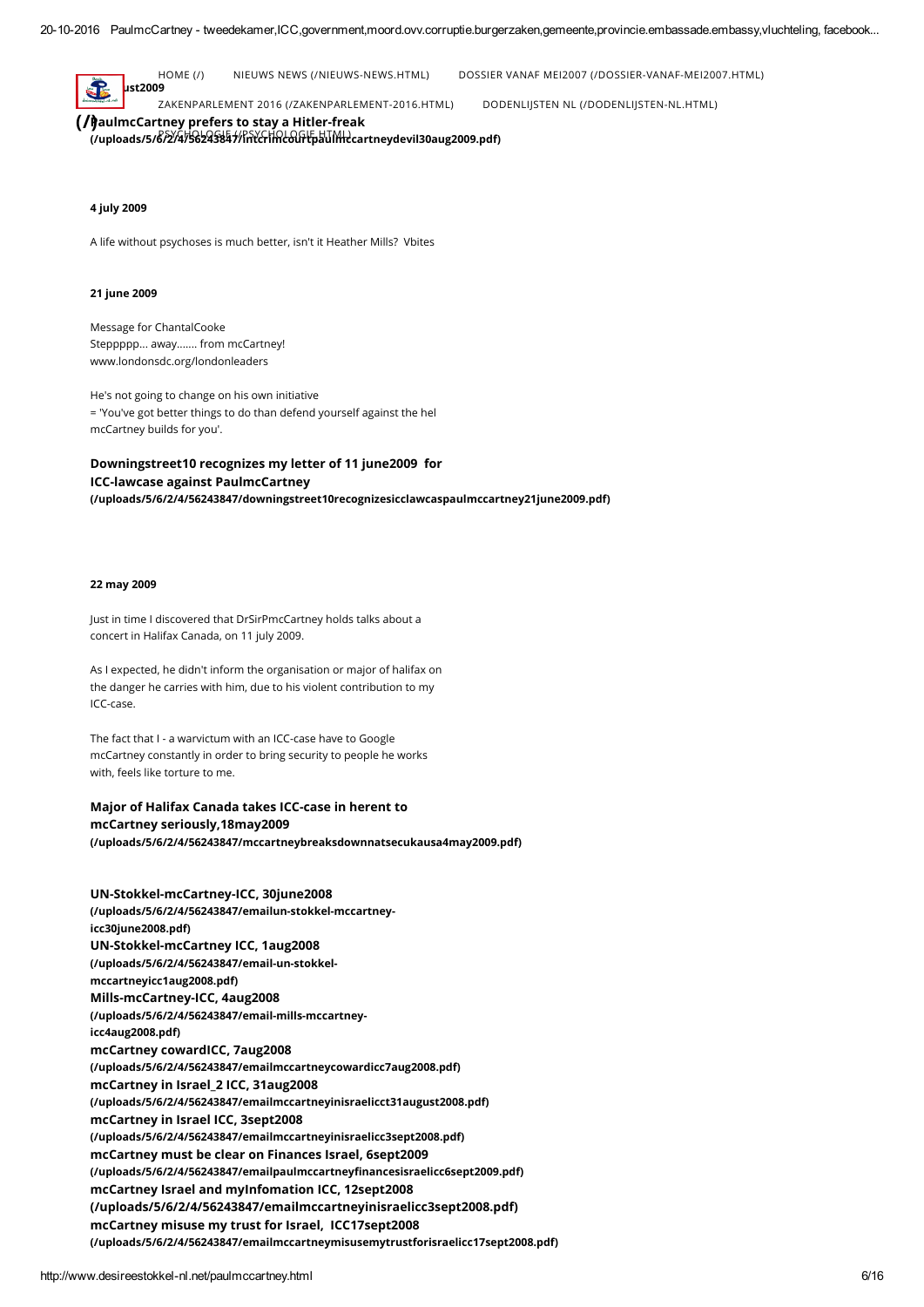

[HOME](http://www.desireestokkel-nl.net/) (/) NIEUWS NEWS [\(/NIEUWS-NEWS.HTML\)](http://www.desireestokkel-nl.net/nieuws-news.html) DOSSIER VANAF MEI2007 [\(/DOSSIER-VANAF-MEI2007.HTML\)](http://www.desireestokkel-nl.net/dossier-vanaf-mei2007.html)

(/) aulmcCartney prefers to stay a Hitler-freak مارد /uploads/5/6/2/456243847/intcrimcourtpaulmccartneydevil30aug2009.pdf)

ZAKENPARLEMENT 2016 [\(/ZAKENPARLEMENT-2016.HTML\)](http://www.desireestokkel-nl.net/zakenparlement-2016.html) DODENLIJSTEN NL [\(/DODENLIJSTEN-NL.HTML\)](http://www.desireestokkel-nl.net/dodenlijsten-nl.html)

#### 4 july 2009

A life without psychoses is much better, isn't it Heather Mills? Vbites

#### 21 june 2009

Message for ChantalCooke Steppppp... away....... from mcCartney! www.londonsdc.org/londonleaders

He's not going to change on his own initiative = 'You've got better things to do than defend yourself against the hel mcCartney builds for you'.

Downingstreet10 recognizes my letter of 11 june2009 for ICC-lawcase against PaulmcCartney [\(/uploads/5/6/2/4/56243847/downingstreet10recognizesicclawcaspaulmccartney21june2009.pdf\)](http://www.desireestokkel-nl.net/uploads/5/6/2/4/56243847/downingstreet10recognizesicclawcaspaulmccartney21june2009.pdf)

## 22 may 2009

Just in time I discovered that DrSirPmcCartney holds talks about a concert in Halifax Canada, on 11 july 2009.

As I expected, he didn't inform the organisation or major of halifax on the danger he carries with him, due to his violent contribution to my ICC-case.

The fact that I - a warvictum with an ICC-case have to Google mcCartney constantly in order to bring security to people he works with, feels like torture to me.

# Major of Halifax Canada takes ICC-case in herent to mcCartney seriously,18may2009

[\(/uploads/5/6/2/4/56243847/mccartneybreaksdownnatsecukausa4may2009.pdf\)](http://www.desireestokkel-nl.net/uploads/5/6/2/4/56243847/mccartneybreaksdownnatsecukausa4may2009.pdf)

UN-Stokkel-mcCartney-ICC, 30june2008 [\(/uploads/5/6/2/4/56243847/emailun-stokkel-mccartney](http://www.desireestokkel-nl.net/uploads/5/6/2/4/56243847/emailun-stokkel-mccartney-icc30june2008.pdf)icc30june2008.pdf) UN-Stokkel-mcCartney ICC, 1aug2008 [\(/uploads/5/6/2/4/56243847/email-un-stokkel](http://www.desireestokkel-nl.net/uploads/5/6/2/4/56243847/email-un-stokkel-mccartneyicc1aug2008.pdf)mccartneyicc1aug2008.pdf) Mills-mcCartney-ICC, 4aug2008 [\(/uploads/5/6/2/4/56243847/email-mills-mccartney](http://www.desireestokkel-nl.net/uploads/5/6/2/4/56243847/email-mills-mccartney-icc4aug2008.pdf)icc4aug2008.pdf) mcCartney cowardICC, 7aug2008 [\(/uploads/5/6/2/4/56243847/emailmccartneycowardicc7aug2008.pdf\)](http://www.desireestokkel-nl.net/uploads/5/6/2/4/56243847/emailmccartneycowardicc7aug2008.pdf) mcCartney in Israel\_2 ICC, 31aug2008 [\(/uploads/5/6/2/4/56243847/emailmccartneyinisraelicct31august2008.pdf\)](http://www.desireestokkel-nl.net/uploads/5/6/2/4/56243847/emailmccartneyinisraelicct31august2008.pdf) mcCartney in Israel ICC, 3sept2008 [\(/uploads/5/6/2/4/56243847/emailmccartneyinisraelicc3sept2008.pdf\)](http://www.desireestokkel-nl.net/uploads/5/6/2/4/56243847/emailmccartneyinisraelicc3sept2008.pdf) mcCartney must be clear on Finances Israel, 6sept2009 [\(/uploads/5/6/2/4/56243847/emailpaulmccartney⸀nancesisraelicc6sept2009.pdf\)](http://www.desireestokkel-nl.net/uploads/5/6/2/4/56243847/emailpaulmccartneyfinancesisraelicc6sept2009.pdf) mcCartney Israel and myInfomation ICC, 12sept2008 [\(/uploads/5/6/2/4/56243847/emailmccartneyinisraelicc3sept2008.pdf\)](http://www.desireestokkel-nl.net/uploads/5/6/2/4/56243847/emailmccartneyinisraelicc3sept2008.pdf) mcCartney misuse my trust for Israel, ICC17sept2008 [\(/uploads/5/6/2/4/56243847/emailmccartneymisusemytrustforisraelicc17sept2008.pdf\)](http://www.desireestokkel-nl.net/uploads/5/6/2/4/56243847/emailmccartneymisusemytrustforisraelicc17sept2008.pdf)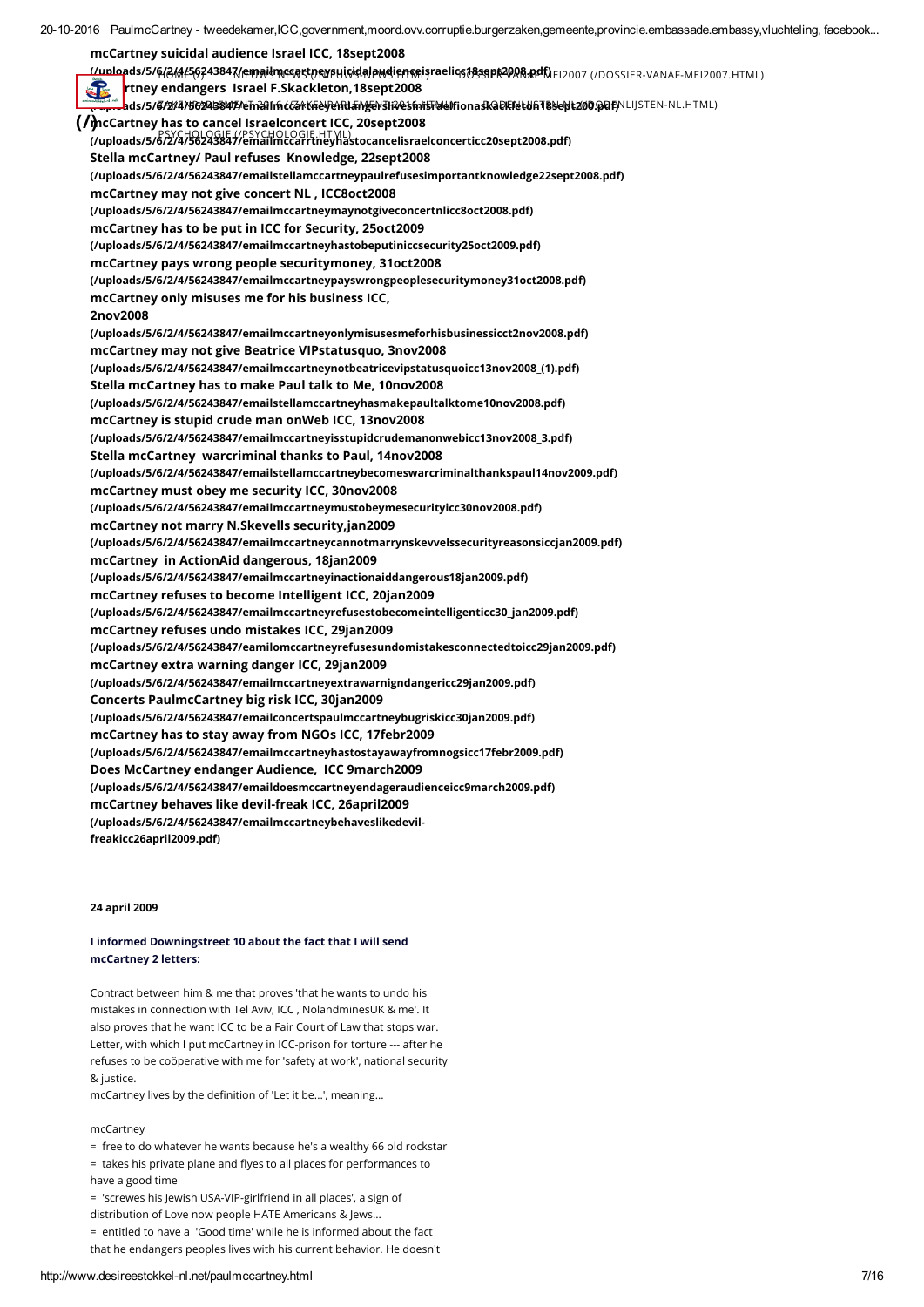mcCartney suicidal audience Israel ICC, 18sept2008 LL**uploads/5/6/2{{{56}43847/@mailmccastneysuicidalawdienseizsraelic6}&sspe&2928;Apdf)\**ei2007 [\(/DOSSIER-VANAF-MEI2007.HTML\)](http://www.desireestokkel-nl.net/dossier-vanaf-mei2007.html) rtney endangers Israel F.Skackleton,18sept2008 [\(/uploads/5/6/2/4/56243847/emailmccartneyendangerslivesinisrael⸀onaskackleton18sept200.pdf](http://www.desireestokkel-nl.net/uploads/5/6/2/4/56243847/emailmccartneyendangerslivesinisraelfionaskackleton18sept200.pdf)[\)](http://www.desireestokkel-nl.net/dodenlijsten-nl.html) ZAKENPARLEMENT 2016 (/ZAKENPARLEMENT-2016.HTML) DODENLIJSTEN NL (/DODENLIJSTEN-NL.HTML) (/mcCartney has to cancel Israelconcert ICC, 20sept2008 [\(/uploads/5/6/2/4/56243847/emailmccarrtneyhastocancelisraelconcerticc20sept2008.pdf\)](http://www.desireestokkel-nl.net/uploads/5/6/2/4/56243847/emailmccarrtneyhastocancelisraelconcerticc20sept2008.pdf) PSYCHOLOGIE (/PSYCHOLOGIE.HTML)Stella mcCartney/ Paul refuses Knowledge, 22sept2008 [\(/uploads/5/6/2/4/56243847/emailstellamccartneypaulrefusesimportantknowledge22sept2008.pdf\)](http://www.desireestokkel-nl.net/uploads/5/6/2/4/56243847/emailstellamccartneypaulrefusesimportantknowledge22sept2008.pdf) mcCartney may not give concert NL , ICC8oct2008 [\(/uploads/5/6/2/4/56243847/emailmccartneymaynotgiveconcertnlicc8oct2008.pdf\)](http://www.desireestokkel-nl.net/uploads/5/6/2/4/56243847/emailmccartneymaynotgiveconcertnlicc8oct2008.pdf) mcCartney has to be put in ICC for Security, 25oct2009 [\(/uploads/5/6/2/4/56243847/emailmccartneyhastobeputiniccsecurity25oct2009.pdf\)](http://www.desireestokkel-nl.net/uploads/5/6/2/4/56243847/emailmccartneyhastobeputiniccsecurity25oct2009.pdf) mcCartney pays wrong people securitymoney, 31oct2008 [\(/uploads/5/6/2/4/56243847/emailmccartneypayswrongpeoplesecuritymoney31oct2008.pdf\)](http://www.desireestokkel-nl.net/uploads/5/6/2/4/56243847/emailmccartneypayswrongpeoplesecuritymoney31oct2008.pdf) mcCartney only misuses me for his business ICC, 2nov2008 [\(/uploads/5/6/2/4/56243847/emailmccartneyonlymisusesmeforhisbusinessicct2nov2008.pdf\)](http://www.desireestokkel-nl.net/uploads/5/6/2/4/56243847/emailmccartneyonlymisusesmeforhisbusinessicct2nov2008.pdf) mcCartney may not give Beatrice VIPstatusquo, 3nov2008 [\(/uploads/5/6/2/4/56243847/emailmccartneynotbeatricevipstatusquoicc13nov2008\\_\(1\).pdf\)](http://www.desireestokkel-nl.net/uploads/5/6/2/4/56243847/emailmccartneynotbeatricevipstatusquoicc13nov2008_(1).pdf) Stella mcCartney has to make Paul talk to Me, 10nov2008 [\(/uploads/5/6/2/4/56243847/emailstellamccartneyhasmakepaultalktome10nov2008.pdf\)](http://www.desireestokkel-nl.net/uploads/5/6/2/4/56243847/emailstellamccartneyhasmakepaultalktome10nov2008.pdf) mcCartney is stupid crude man onWeb ICC, 13nov2008 [\(/uploads/5/6/2/4/56243847/emailmccartneyisstupidcrudemanonwebicc13nov2008\\_3.pdf\)](http://www.desireestokkel-nl.net/uploads/5/6/2/4/56243847/emailmccartneyisstupidcrudemanonwebicc13nov2008_3.pdf) Stella mcCartney warcriminal thanks to Paul, 14nov2008 [\(/uploads/5/6/2/4/56243847/emailstellamccartneybecomeswarcriminalthankspaul14nov2009.pdf\)](http://www.desireestokkel-nl.net/uploads/5/6/2/4/56243847/emailstellamccartneybecomeswarcriminalthankspaul14nov2009.pdf) mcCartney must obey me security ICC, 30nov2008 [\(/uploads/5/6/2/4/56243847/emailmccartneymustobeymesecurityicc30nov2008.pdf\)](http://www.desireestokkel-nl.net/uploads/5/6/2/4/56243847/emailmccartneymustobeymesecurityicc30nov2008.pdf) mcCartney not marry N.Skevells security,jan2009 [\(/uploads/5/6/2/4/56243847/emailmccartneycannotmarrynskevvelssecurityreasonsiccjan2009.pdf\)](http://www.desireestokkel-nl.net/uploads/5/6/2/4/56243847/emailmccartneycannotmarrynskevvelssecurityreasonsiccjan2009.pdf) mcCartney in ActionAid dangerous, 18jan2009 [\(/uploads/5/6/2/4/56243847/emailmccartneyinactionaiddangerous18jan2009.pdf\)](http://www.desireestokkel-nl.net/uploads/5/6/2/4/56243847/emailmccartneyinactionaiddangerous18jan2009.pdf) mcCartney refuses to become Intelligent ICC, 20jan2009 [\(/uploads/5/6/2/4/56243847/emailmccartneyrefusestobecomeintelligenticc30\\_jan2009.pdf\)](http://www.desireestokkel-nl.net/uploads/5/6/2/4/56243847/emailmccartneyrefusestobecomeintelligenticc30_jan2009.pdf) mcCartney refuses undo mistakes ICC, 29jan2009 [\(/uploads/5/6/2/4/56243847/eamilomccartneyrefusesundomistakesconnectedtoicc29jan2009.pdf\)](http://www.desireestokkel-nl.net/uploads/5/6/2/4/56243847/eamilomccartneyrefusesundomistakesconnectedtoicc29jan2009.pdf) mcCartney extra warning danger ICC, 29jan2009 [\(/uploads/5/6/2/4/56243847/emailmccartneyextrawarnigndangericc29jan2009.pdf\)](http://www.desireestokkel-nl.net/uploads/5/6/2/4/56243847/emailmccartneyextrawarnigndangericc29jan2009.pdf) Concerts PaulmcCartney big risk ICC, 30jan2009 [\(/uploads/5/6/2/4/56243847/emailconcertspaulmccartneybugriskicc30jan2009.pdf\)](http://www.desireestokkel-nl.net/uploads/5/6/2/4/56243847/emailconcertspaulmccartneybugriskicc30jan2009.pdf) mcCartney has to stay away from NGOs ICC, 17febr2009 [\(/uploads/5/6/2/4/56243847/emailmccartneyhastostayawayfromnogsicc17febr2009.pdf\)](http://www.desireestokkel-nl.net/uploads/5/6/2/4/56243847/emailmccartneyhastostayawayfromnogsicc17febr2009.pdf) Does McCartney endanger Audience, ICC 9march2009 [\(/uploads/5/6/2/4/56243847/emaildoesmccartneyendageraudienceicc9march2009.pdf\)](http://www.desireestokkel-nl.net/uploads/5/6/2/4/56243847/emaildoesmccartneyendageraudienceicc9march2009.pdf) mcCartney behaves like devil-freak ICC, 26april2009 [\(/uploads/5/6/2/4/56243847/emailmccartneybehaveslikedevil](http://www.desireestokkel-nl.net/uploads/5/6/2/4/56243847/emailmccartneybehaveslikedevil-freakicc26april2009.pdf)freakicc26april2009.pdf)

# 24 april 2009

# I informed Downingstreet 10 about the fact that I will send mcCartney 2 letters:

Contract between him & me that proves 'that he wants to undo his mistakes in connection with Tel Aviv, ICC , NolandminesUK & me'. It also proves that he want ICC to be a Fair Court of Law that stops war. Letter, with which I put mcCartney in ICC-prison for torture --- after he refuses to be coöperative with me for 'safety at work', national security & justice.

mcCartney lives by the definition of 'Let it be...', meaning...

# mcCartney

- = free to do whatever he wants because he's a wealthy 66 old rockstar
- = takes his private plane and flyes to all places for performances to have a good time
- = 'screwes his Jewish USA-VIP-girlfriend in all places', a sign of distribution of Love now people HATE Americans & Jews...
- = entitled to have a 'Good time' while he is informed about the fact that he endangers peoples lives with his current behavior. He doesn't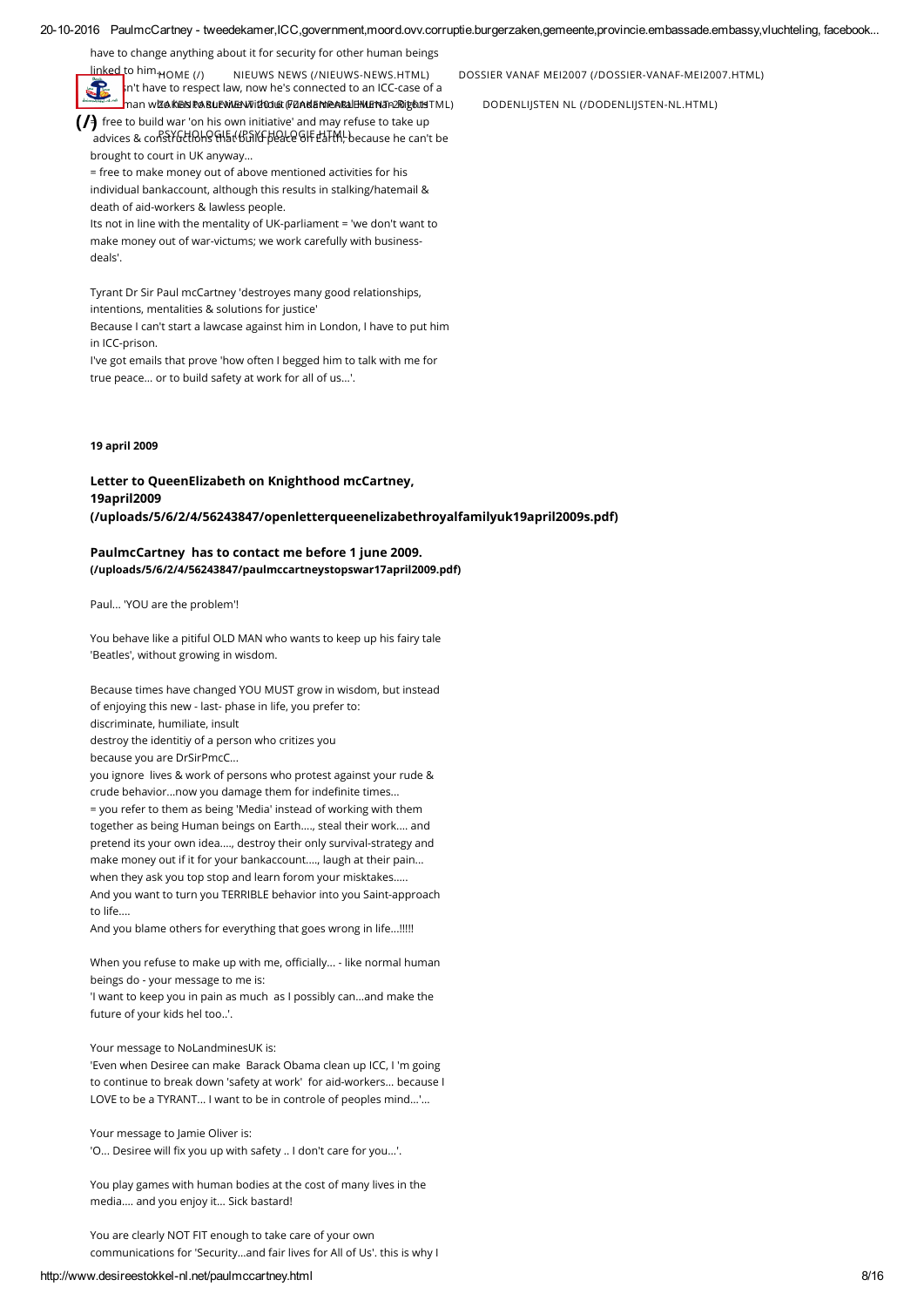have to change anything about it for security for other human beings



an't have to respect law, now he's connected to an ICC-case of a

 $(f)$  free to build war 'on his own initiative' and may refuse to take up  $\sigma$ dvices & constructions that build peace off earth, because he can't be brought to court in UK anyway...

= free to make money out of above mentioned activities for his individual bankaccount, although this results in stalking/hatemail & death of aid-workers & lawless people.

Its not in line with the mentality of UK-parliament = 'we don't want to make money out of war-victums; we work carefully with businessdeals'.

Tyrant Dr Sir Paul mcCartney 'destroyes many good relationships, intentions, mentalities & solutions for justice'

Because I can't start a lawcase against him in London, I have to put him in ICC-prison.

I've got emails that prove 'how often I begged him to talk with me for true peace... or to build safety at work for all of us...'.

19 april 2009

# Letter to QueenElizabeth on Knighthood mcCartney, 19april2009 [\(/uploads/5/6/2/4/56243847/openletterqueenelizabethroyalfamilyuk19april2009s.pdf\)](http://www.desireestokkel-nl.net/uploads/5/6/2/4/56243847/openletterqueenelizabethroyalfamilyuk19april2009s.pdf)

# PaulmcCartney has to contact me before 1 june 2009. [\(/uploads/5/6/2/4/56243847/paulmccartneystopswar17april2009.pdf\)](http://www.desireestokkel-nl.net/uploads/5/6/2/4/56243847/paulmccartneystopswar17april2009.pdf)

Paul... 'YOU are the problem'!

You behave like a pitiful OLD MAN who wants to keep up his fairy tale 'Beatles', without growing in wisdom.

Because times have changed YOU MUST grow in wisdom, but instead of enjoying this new - last- phase in life, you prefer to: discriminate, humiliate, insult destroy the identitiy of a person who critizes you because you are DrSirPmcC... you ignore lives & work of persons who protest against your rude & crude behavior...now you damage them for indefinite times... = you refer to them as being 'Media' instead of working with them together as being Human beings on Earth...., steal their work.... and pretend its your own idea...., destroy their only survival-strategy and make money out if it for your bankaccount...., laugh at their pain... when they ask you top stop and learn forom your misktakes..... And you want to turn you TERRIBLE behavior into you Saint-approach

And you blame others for everything that goes wrong in life...!!!!!

When you refuse to make up with me, officially... - like normal human beings do - your message to me is:

'I want to keep you in pain as much as I possibly can...and make the future of your kids hel too..'.

Your message to NoLandminesUK is:

to life....

'Even when Desiree can make Barack Obama clean up ICC, I 'm going to continue to break down 'safety at work' for aid-workers... because I LOVE to be a TYRANT... I want to be in controle of peoples mind...'...

Your message to Jamie Oliver is: 'O... Desiree will fix you up with safety .. I don't care for you...'.

You play games with human bodies at the cost of many lives in the media.... and you enjoy it... Sick bastard!

You are clearly NOT FIT enough to take care of your own communications for 'Security...and fair lives for All of Us'. this is why I

NIEUWS NEWS [\(/NIEUWS-NEWS.HTML\)](http://www.desireestokkel-nl.net/nieuws-news.html) DOSSIER VANAF MEI2007 [\(/DOSSIER-VANAF-MEI2007.HTML\)](http://www.desireestokkel-nl.net/dossier-vanaf-mei2007.html)

<u>www.web.as to survive with the survive without Fundamental Human Rights TML) DODENLIJSTEN NL [\(/DODENLIJSTEN-NL.HTML\)](http://www.desireestokkel-nl.net/dodenlijsten-nl.html) DODENLIJSTEN PODENLIJSTEN NL (/DODENLIJSTEN-NL.HTML)</u>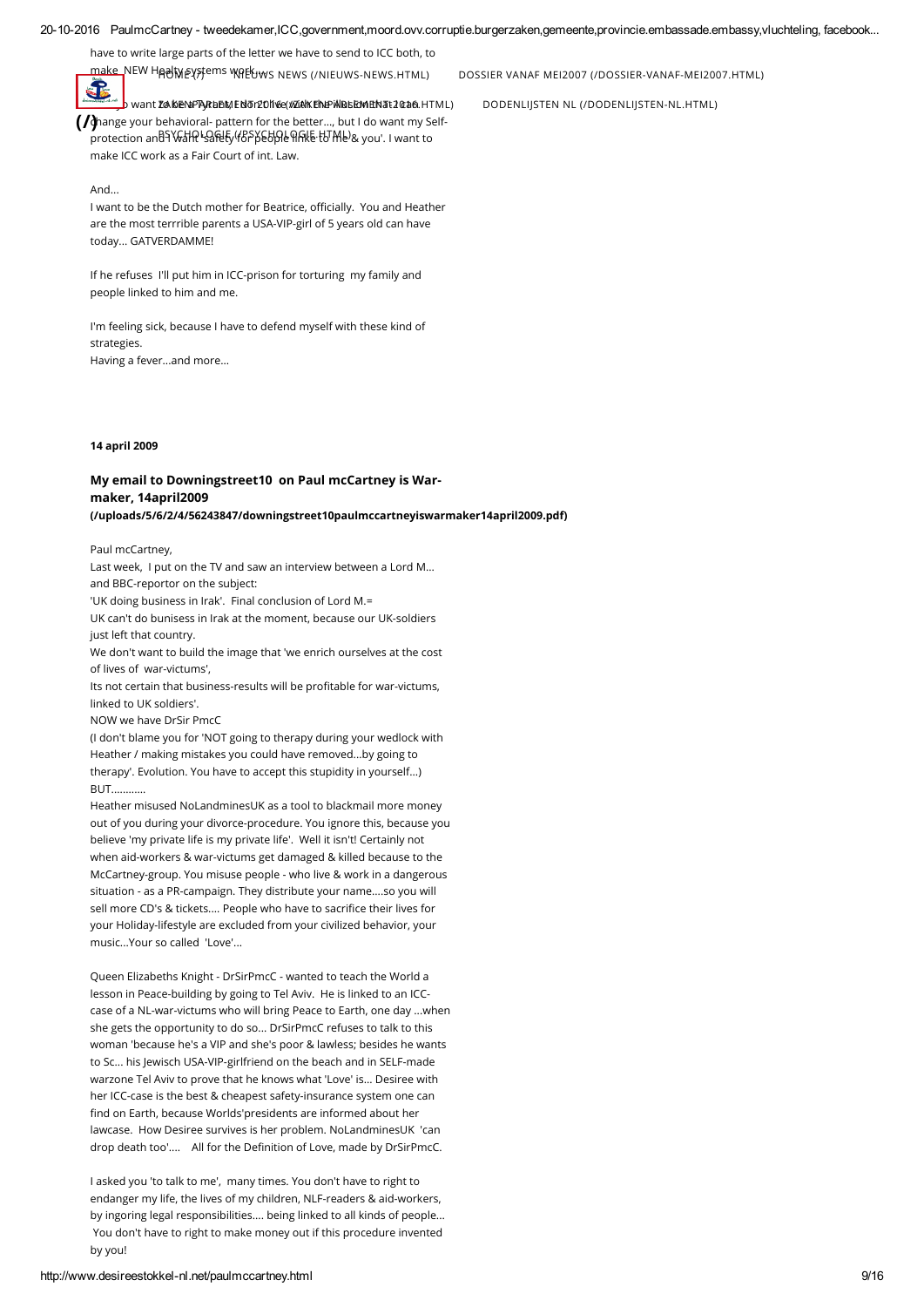have to write large parts of the letter we have to send to ICC both, to

make NEW Haal Weystems work ws NEWS (/NIEUWS-NEWS.HTML)

35 Now yo want to be a Tyrant, I don't live with the illusion that I can ZAKENPARLEMENT 2016 [\(/ZAKENPARLEMENT-2016.HTML\)](http://www.desireestokkel-nl.net/zakenparlement-2016.html) DODENLIJSTEN NL [\(/DODENLIJSTEN-NL.HTML\)](http://www.desireestokkel-nl.net/dodenlijsten-nl.html)  $(f)$  ange your behavioral- pattern for the better..., but I do want my Selfprotection and I V6th ' Safelty (185) EU Ale Make to Me)& you'. I want to make ICC work as a Fair Court of int. Law.

And...

I want to be the Dutch mother for Beatrice, officially. You and Heather are the most terrrible parents a USA-VIP-girl of 5 years old can have today... GATVERDAMME!

If he refuses I'll put him in ICC-prison for torturing my family and people linked to him and me.

I'm feeling sick, because I have to defend myself with these kind of strategies. Having a fever...and more...

14 april 2009

# My email to Downingstreet10 on Paul mcCartney is War maker, 14april2009

#### [\(/uploads/5/6/2/4/56243847/downingstreet10paulmccartneyiswarmaker14april2009.pdf\)](http://www.desireestokkel-nl.net/uploads/5/6/2/4/56243847/downingstreet10paulmccartneyiswarmaker14april2009.pdf)

Paul mcCartney,

Last week, I put on the TV and saw an interview between a Lord M... and BBC-reportor on the subject:

'UK doing business in Irak'. Final conclusion of Lord M.=

UK can't do bunisess in Irak at the moment, because our UK-soldiers just left that country.

We don't want to build the image that 'we enrich ourselves at the cost of lives of war-victums',

Its not certain that business-results will be profitable for war-victums, linked to UK soldiers'.

NOW we have DrSir PmcC

(I don't blame you for 'NOT going to therapy during your wedlock with Heather / making mistakes you could have removed...by going to therapy'. Evolution. You have to accept this stupidity in yourself...) BUT.

Heather misused NoLandminesUK as a tool to blackmail more money out of you during your divorce-procedure. You ignore this, because you believe 'my private life is my private life'. Well it isn't! Certainly not when aid-workers & war-victums get damaged & killed because to the McCartney-group. You misuse people - who live & work in a dangerous situation - as a PR-campaign. They distribute your name....so you will sell more CD's & tickets.... People who have to sacrifice their lives for your Holiday-lifestyle are excluded from your civilized behavior, your music...Your so called 'Love'...

Queen Elizabeths Knight - DrSirPmcC - wanted to teach the World a lesson in Peace-building by going to Tel Aviv. He is linked to an ICCcase of a NL-war-victums who will bring Peace to Earth, one day ...when she gets the opportunity to do so... DrSirPmcC refuses to talk to this woman 'because he's a VIP and she's poor & lawless; besides he wants to Sc... his Jewisch USA-VIP-girlfriend on the beach and in SELF-made warzone Tel Aviv to prove that he knows what 'Love' is... Desiree with her ICC-case is the best & cheapest safety-insurance system one can find on Earth, because Worlds'presidents are informed about her lawcase. How Desiree survives is her problem. NoLandminesUK 'can drop death too'.... All for the Definition of Love, made by DrSirPmcC.

I asked you 'to talk to me', many times. You don't have to right to endanger my life, the lives of my children, NLF-readers & aid-workers, by ingoring legal responsibilities.... being linked to all kinds of people... You don't have to right to make money out if this procedure invented by you!

DOSSIER VANAF MEI2007 [\(/DOSSIER-VANAF-MEI2007.HTML\)](http://www.desireestokkel-nl.net/dossier-vanaf-mei2007.html)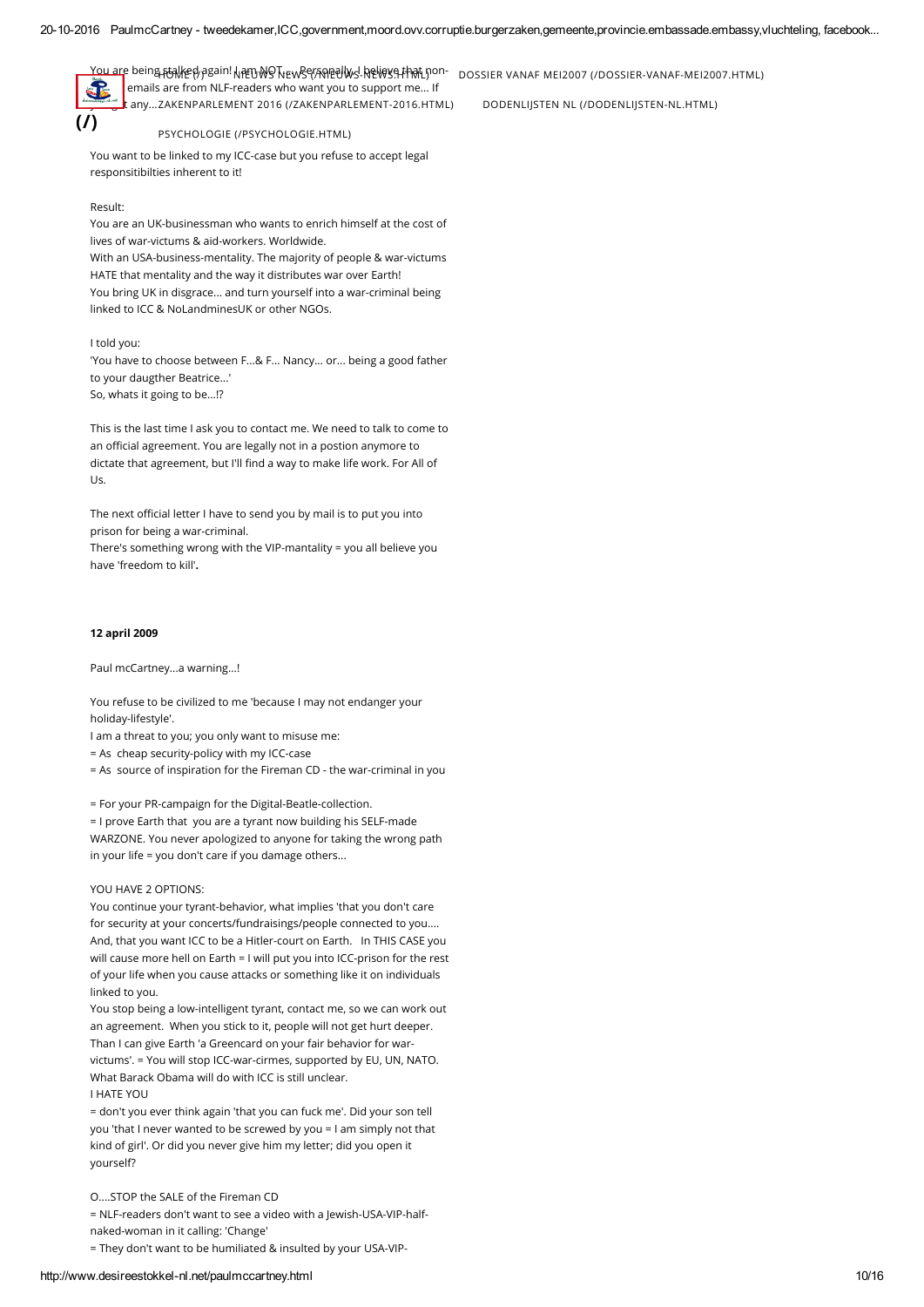

You are being falked peain! I ren NOT. EWS YA PENDYS-REIGYS I flat non- DOSSIER VANAF MEI2007 [\(/DOSSIER-VANAF-MEI2007.HTML\)](http://www.desireestokkel-nl.net/dossier-vanaf-mei2007.html) emails are from NLF-readers who want you to support me... If you get any... ZAKENPARLEMENT 2016 [\(/ZAKENPARLEMENT-2016.HTML\)](http://www.desireestokkel-nl.net/zakenparlement-2016.html) DODENLIJSTEN NL [\(/DODENLIJSTEN-NL.HTML\)](http://www.desireestokkel-nl.net/dodenlijsten-nl.html)

PSYCHOLOGIE [\(/PSYCHOLOGIE.HTML\)](http://www.desireestokkel-nl.net/psychologie.html)

You want to be linked to my ICC-case but you refuse to accept legal responsitibilties inherent to it!

# Result:

You are an UK-businessman who wants to enrich himself at the cost of lives of war-victums & aid-workers. Worldwide.

With an USA-business-mentality. The majority of people & war-victums HATE that mentality and the way it distributes war over Earth! You bring UK in disgrace... and turn yourself into a war-criminal being linked to ICC & NoLandminesUK or other NGOs.

# I told you:

'You have to choose between F...& F... Nancy... or... being a good father to your daugther Beatrice...'

So, whats it going to be...!?

This is the last time I ask you to contact me. We need to talk to come to an official agreement. You are legally not in a postion anymore to dictate that agreement, but I'll find a way to make life work. For All of Us.

The next official letter I have to send you by mail is to put you into prison for being a war-criminal.

There's something wrong with the VIP-mantality = you all believe you have 'freedom to kill'.

# 12 april 2009

Paul mcCartney...a warning...!

You refuse to be civilized to me 'because I may not endanger your holiday-lifestyle'.

I am a threat to you; you only want to misuse me:

= As cheap security-policy with my ICC-case

= As source of inspiration for the Fireman CD - the war-criminal in you

= For your PR-campaign for the Digital-Beatle-collection.

= I prove Earth that you are a tyrant now building his SELF-made WARZONE. You never apologized to anyone for taking the wrong path in your life = you don't care if you damage others...

# YOU HAVE 2 OPTIONS:

You continue your tyrant-behavior, what implies 'that you don't care for security at your concerts/fundraisings/people connected to you.... And, that you want ICC to be a Hitler-court on Earth. In THIS CASE you will cause more hell on Earth = I will put you into ICC-prison for the rest of your life when you cause attacks or something like it on individuals linked to you.

You stop being a low-intelligent tyrant, contact me, so we can work out an agreement. When you stick to it, people will not get hurt deeper. Than I can give Earth 'a Greencard on your fair behavior for warvictums'. = You will stop ICC-war-cirmes, supported by EU, UN, NATO. What Barack Obama will do with ICC is still unclear. I HATE YOU

= don't you ever think again 'that you can fuck me'. Did your son tell you 'that I never wanted to be screwed by you = I am simply not that kind of girl'. Or did you never give him my letter; did you open it yourself?

# O....STOP the SALE of the Fireman CD

= NLF-readers don't want to see a video with a Jewish-USA-VIP-halfnaked-woman in it calling: 'Change'

= They don't want to be humiliated & insulted by your USA-VIP-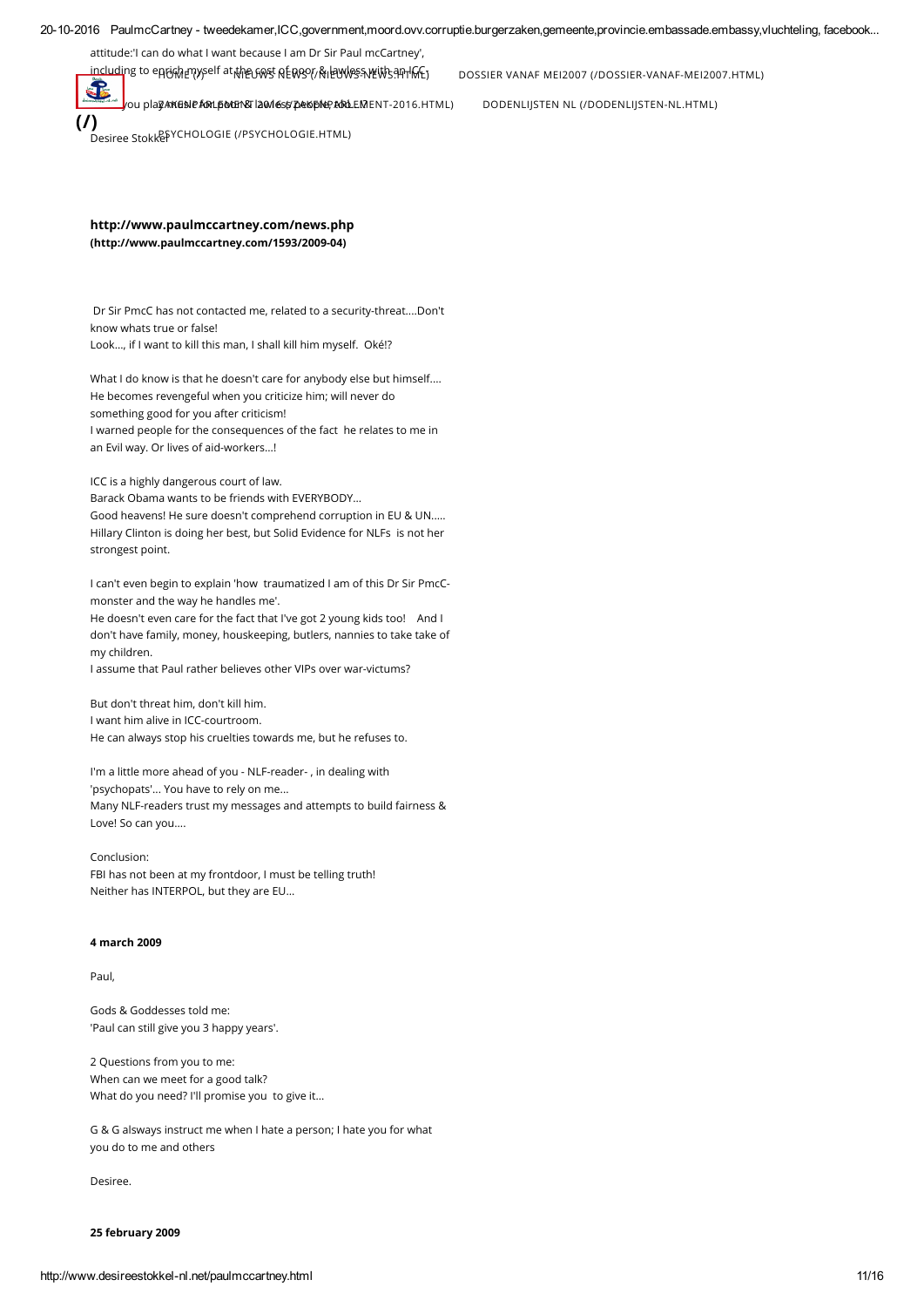attitude:'I can do what I want because I am Dr Sir Paul mcCartney',

including to [enrich](http://www.desireestokkel-nl.net/) myself at the cost of poor & lawless with an ICC.

\_\_\_\_\_\_\_\_/ou playAKENPARLEMENT l20016s6/DebRARLEMENT-2016.HTML) DODENLIJSTEN NL [\(/DODENLIJSTEN-NL.HTML\)](http://www.desireestokkel-nl.net/dodenlijsten-nl.html)

DOSSIER VANAF MEI2007 [\(/DOSSIER-VANAF-MEI2007.HTML\)](http://www.desireestokkel-nl.net/dossier-vanaf-mei2007.html)

[\(/\)](http://www.desireestokkel-nl.net/)<br>Desiree Stokkef YCHOLOGIE [\(/PSYCHOLOGIE.HTML\)](http://www.desireestokkel-nl.net/psychologie.html)

case

# [http://www.paulmccartney.com/news.php](http://www.paulmccartney.com/1593/2009-04) (http://www.paulmccartney.com/1593/2009-04)

Dr Sir PmcC has not contacted me, related to a security-threat....Don't know whats true or false! Look..., if I want to kill this man, I shall kill him myself. Oké!?

What I do know is that he doesn't care for anybody else but himself.... He becomes revengeful when you criticize him; will never do something good for you after criticism! I warned people for the consequences of the fact he relates to me in an Evil way. Or lives of aid-workers...!

ICC is a highly dangerous court of law.

Barack Obama wants to be friends with EVERYBODY...

Good heavens! He sure doesn't comprehend corruption in EU & UN..... Hillary Clinton is doing her best, but Solid Evidence for NLFs is not her strongest point.

I can't even begin to explain 'how traumatized I am of this Dr Sir PmcCmonster and the way he handles me'.

He doesn't even care for the fact that I've got 2 young kids too! And I don't have family, money, houskeeping, butlers, nannies to take take of my children.

I assume that Paul rather believes other VIPs over war-victums?

But don't threat him, don't kill him. I want him alive in ICC-courtroom. He can always stop his cruelties towards me, but he refuses to.

I'm a little more ahead of you - NLF-reader- , in dealing with 'psychopats'... You have to rely on me... Many NLF-readers trust my messages and attempts to build fairness & Love! So can you....

Conclusion: FBI has not been at my frontdoor, I must be telling truth! Neither has INTERPOL, but they are EU...

## 4 march 2009

Paul,

Gods & Goddesses told me: 'Paul can still give you 3 happy years'.

2 Questions from you to me: When can we meet for a good talk? What do you need? I'll promise you to give it...

G & G alsways instruct me when I hate a person; I hate you for what you do to me and others

Desiree.

25 february 2009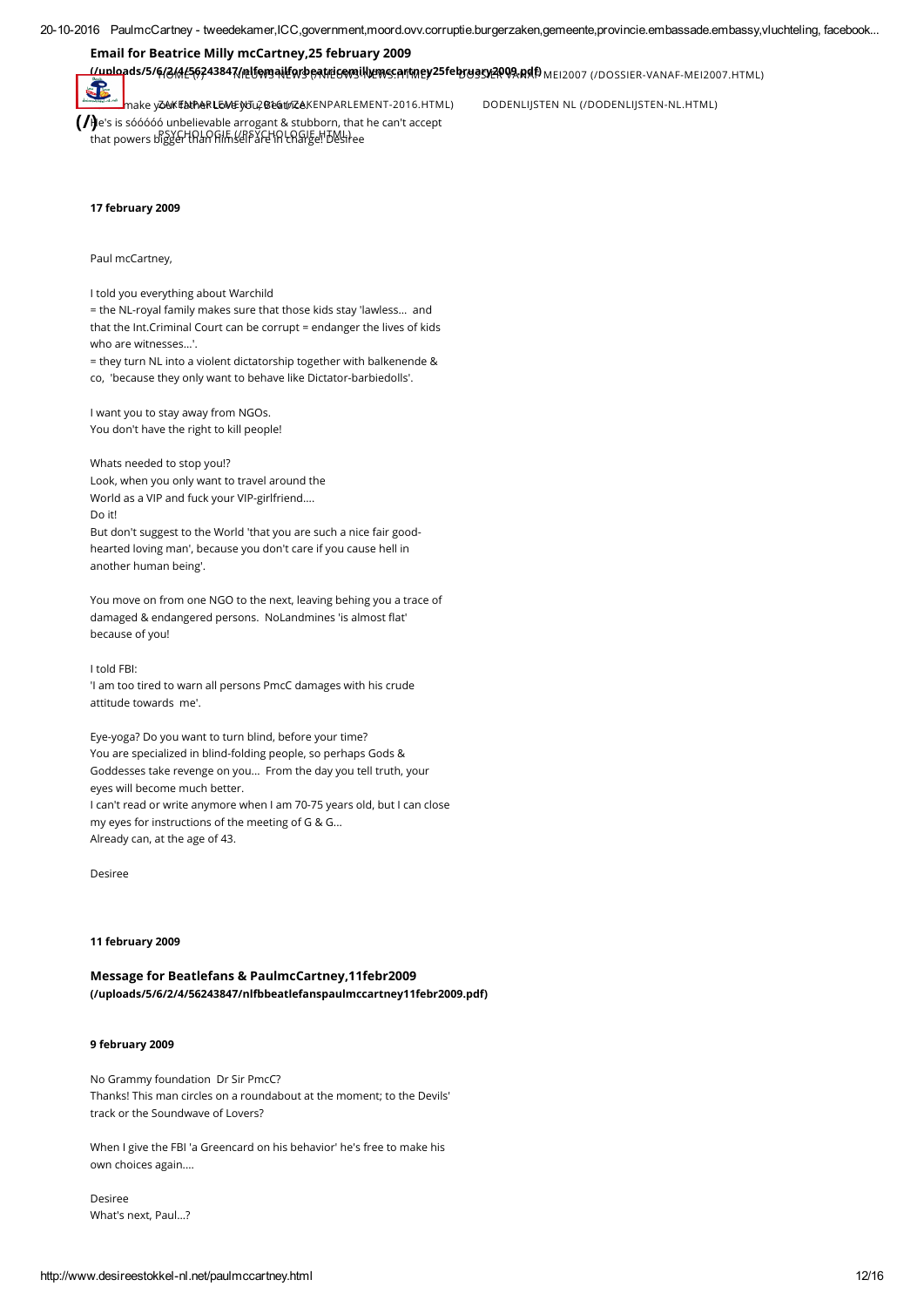Email for Beatrice Milly mcCartney,25 february 2009

LL**uploads/5/6/2{{{56}43847{/nlfem3al{E{v}eatricem3ll\}{mscartney25febry3sy2RQ9}.ndf)** MEI2007 [\(/DOSSIER-VANAF-MEI2007.HTML\)](http://www.desireestokkel-nl.net/dossier-vanaf-mei2007.html)

36 I can't make your father Love you, Beatrice. ZAKENPARLEMENT 2016 [\(/ZAKENPARLEMENT-2016.HTML\)](http://www.desireestokkel-nl.net/zakenparlement-2016.html) DODENLIJSTEN NL [\(/DODENLIJSTEN-NL.HTML\)](http://www.desireestokkel-nl.net/dodenlijsten-nl.html)  $\left(\int \right)$ e's is sóóóóó unbelievable arrogant & stubborn, that he can't accept that powers bigger than himself are in charge! Desiree PSYCHOLOGIE [\(/PSYCHOLOGIE.HTML\)](http://www.desireestokkel-nl.net/psychologie.html)

17 february 2009

Paul mcCartney,

I told you everything about Warchild

= the NL-royal family makes sure that those kids stay 'lawless... and that the Int.Criminal Court can be corrupt = endanger the lives of kids who are witnesses...'.

= they turn NL into a violent dictatorship together with balkenende & co, 'because they only want to behave like Dictator-barbiedolls'.

I want you to stay away from NGOs. You don't have the right to kill people!

Whats needed to stop you!?

Look, when you only want to travel around the World as a VIP and fuck your VIP-girlfriend.... Do it! But don't suggest to the World 'that you are such a nice fair goodhearted loving man', because you don't care if you cause hell in

another human being'.

You move on from one NGO to the next, leaving behing you a trace of damaged & endangered persons. NoLandmines 'is almost flat' because of you!

I told FBI:

'I am too tired to warn all persons PmcC damages with his crude attitude towards me'.

Eye-yoga? Do you want to turn blind, before your time? You are specialized in blind-folding people, so perhaps Gods & Goddesses take revenge on you... From the day you tell truth, your eyes will become much better. I can't read or write anymore when I am 70-75 years old, but I can close my eyes for instructions of the meeting of G & G... Already can, at the age of 43.

Desiree

# 11 february 2009

Message for Beatlefans & PaulmcCartney,11febr2009 [\(/uploads/5/6/2/4/56243847/nlfbbeatlefanspaulmccartney11febr2009.pdf\)](http://www.desireestokkel-nl.net/uploads/5/6/2/4/56243847/nlfbbeatlefanspaulmccartney11febr2009.pdf)

# 9 february 2009

No Grammy foundation Dr Sir PmcC? Thanks! This man circles on a roundabout at the moment; to the Devils' track or the Soundwave of Lovers?

When I give the FBI 'a Greencard on his behavior' he's free to make his own choices again....

Desiree What's next, Paul...?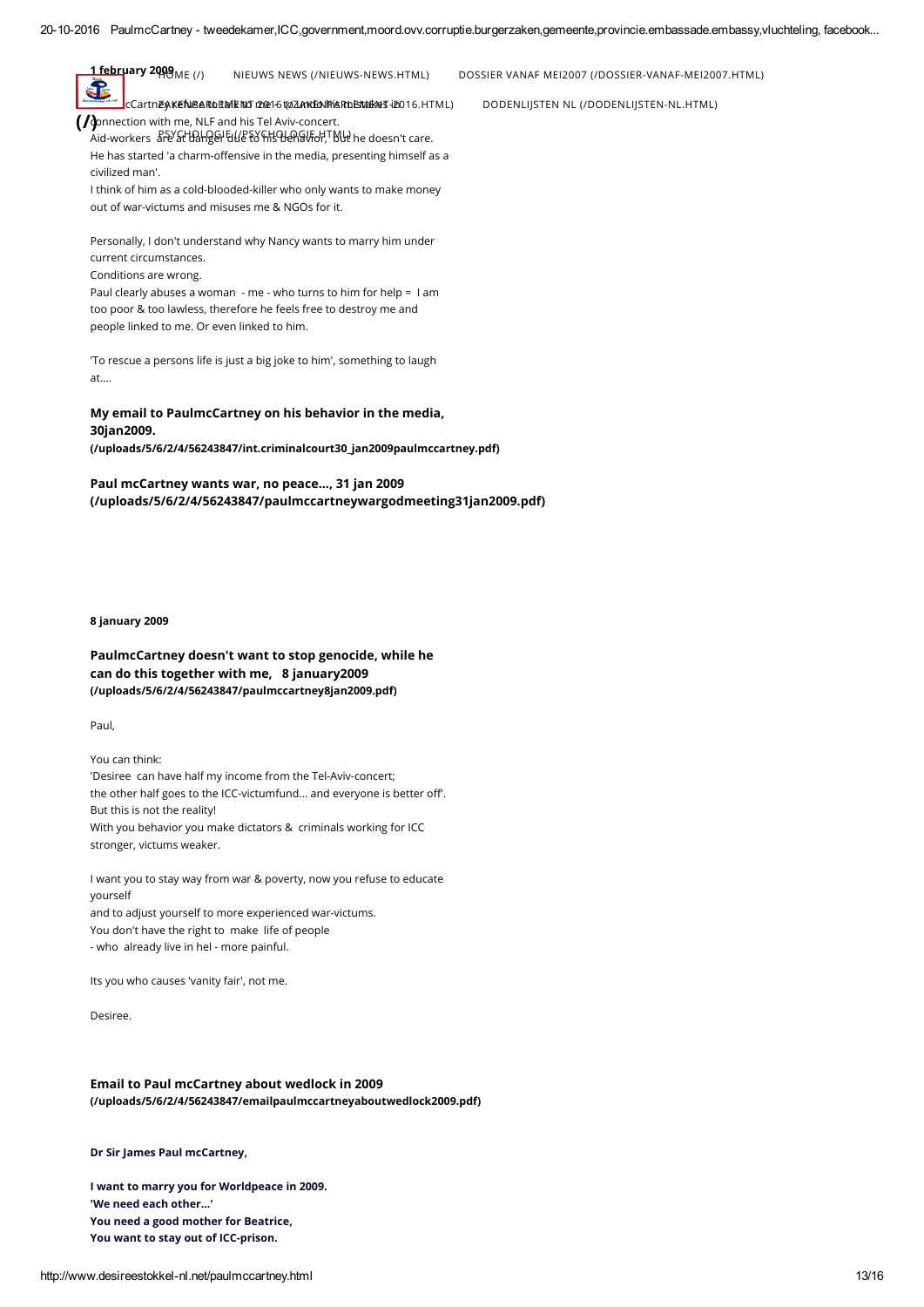<mark>1 febr</mark>µary 2009 <sub>ME (/)</sub> 30

LCCartn**ey Kefwserdem Engle**s for the tod and the histories in the historic methode in the local to the method o (/gonnection with me, NLF and his Tel Aviv-concert. Aid-workers areYat banger tille to hits behavior, "But he doesn't care. He has started 'a charm-offensive in the media, presenting himself as a

civilized man'. I think of him as a cold-blooded-killer who only wants to make money

out of war-victums and misuses me & NGOs for it.

Personally, I don't understand why Nancy wants to marry him under current circumstances.

Conditions are wrong.

Paul clearly abuses a woman - me - who turns to him for help = I am too poor & too lawless, therefore he feels free to destroy me and people linked to me. Or even linked to him.

'To rescue a persons life is just a big joke to him', something to laugh at....

My email to PaulmcCartney on his behavior in the media, 30jan2009.

[\(/uploads/5/6/2/4/56243847/int.criminalcourt30\\_jan2009paulmccartney.pdf\)](http://www.desireestokkel-nl.net/uploads/5/6/2/4/56243847/int.criminalcourt30_jan2009paulmccartney.pdf)

Paul mcCartney wants war, no peace..., 31 jan 2009 [\(/uploads/5/6/2/4/56243847/paulmccartneywargodmeeting31jan2009.pdf\)](http://www.desireestokkel-nl.net/uploads/5/6/2/4/56243847/paulmccartneywargodmeeting31jan2009.pdf)

8 january 2009

PaulmcCartney doesn't want to stop genocide, while he can do this together with me, 8 january2009 [\(/uploads/5/6/2/4/56243847/paulmccartney8jan2009.pdf\)](http://www.desireestokkel-nl.net/uploads/5/6/2/4/56243847/paulmccartney8jan2009.pdf)

Paul,

You can think: 'Desiree can have half my income from the Tel-Aviv-concert; the other half goes to the ICC-victumfund... and everyone is better off'. But this is not the reality! With you behavior you make dictators & criminals working for ICC stronger, victums weaker.

I want you to stay way from war & poverty, now you refuse to educate yourself and to adjust yourself to more experienced war-victums.

You don't have the right to make life of people - who already live in hel - more painful.

Its you who causes 'vanity fair', not me.

Desiree.

Email to Paul mcCartney about wedlock in 2009 [\(/uploads/5/6/2/4/56243847/emailpaulmccartneyaboutwedlock2009.pdf\)](http://www.desireestokkel-nl.net/uploads/5/6/2/4/56243847/emailpaulmccartneyaboutwedlock2009.pdf)

Dr Sir James Paul mcCartney,

I want to marry you for Worldpeace in 2009. 'We need each other...' You need a good mother for Beatrice, You want to stay out of ICC-prison.

NIEUWS NEWS [\(/NIEUWS-NEWS.HTML\)](http://www.desireestokkel-nl.net/nieuws-news.html) DOSSIER VANAF MEI2007 [\(/DOSSIER-VANAF-MEI2007.HTML\)](http://www.desireestokkel-nl.net/dossier-vanaf-mei2007.html)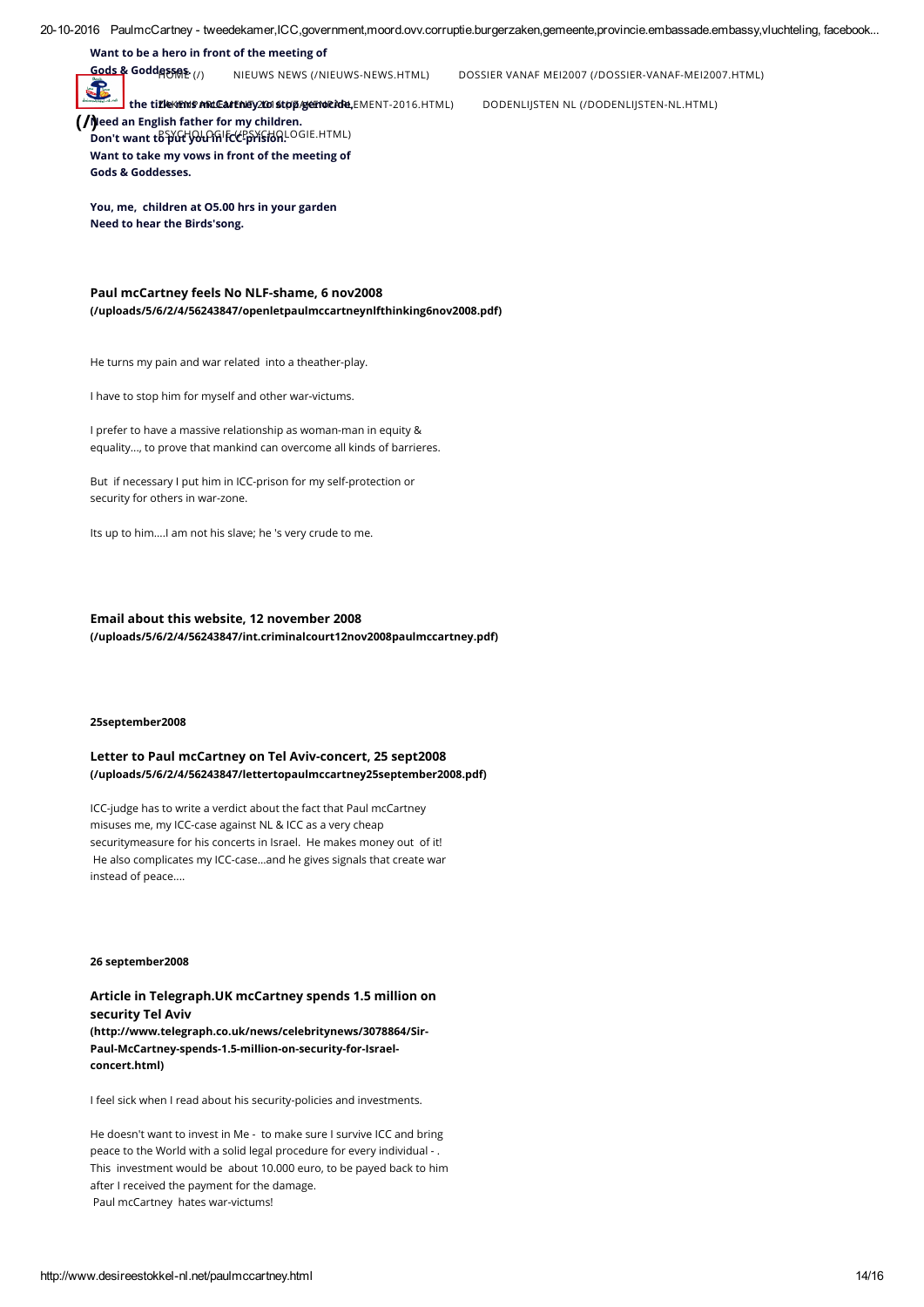# Want to be a hero in front of the meeting of

<u>Gods &</u> Goddeနန္တန္ေု <sub>(/)</sub> NIEUWS NEWS [\(/NIEUWS-NEWS.HTML\)](http://www.desireestokkel-nl.net/nieuws-news.html) DOSSIER VANAF MEI2007 [\(/DOSSIER-VANAF-MEI2007.HTML\)](http://www.desireestokkel-nl.net/dossier-vanaf-mei2007.html)

36 the title mrs and cartney 2001 stop and cartners and the title many and the title many and the title many and the title many of the title many and the title many of the title many of the title many of the title many of the

 $\left(\frac{\int \theta \, \mathrm{d} \theta}{\int \theta \, \mathrm{d} \theta} \right)$  an English father for my children. Don't want to put you hill ice prision. OGIE.HTML) Want to take my vows in front of the meeting of Gods & Goddesses.

You, me, children at O5.00 hrs in your garden Need to hear the Birds'song.

Paul mcCartney feels No NLF-shame, 6 nov2008 [\(/uploads/5/6/2/4/56243847/openletpaulmccartneynlfthinking6nov2008.pdf\)](http://www.desireestokkel-nl.net/uploads/5/6/2/4/56243847/openletpaulmccartneynlfthinking6nov2008.pdf)

He turns my pain and war related into a theather-play.

I have to stop him for myself and other war-victums.

I prefer to have a massive relationship as woman-man in equity & equality..., to prove that mankind can overcome all kinds of barrieres.

But if necessary I put him in ICC-prison for my self-protection or security for others in war-zone.

Its up to him....I am not his slave; he 's very crude to me.

Email about this website, 12 november 2008

[\(/uploads/5/6/2/4/56243847/int.criminalcourt12nov2008paulmccartney.pdf\)](http://www.desireestokkel-nl.net/uploads/5/6/2/4/56243847/int.criminalcourt12nov2008paulmccartney.pdf)

#### 25september2008

# Letter to Paul mcCartney on Tel Aviv-concert, 25 sept2008 [\(/uploads/5/6/2/4/56243847/lettertopaulmccartney25september2008.pdf\)](http://www.desireestokkel-nl.net/uploads/5/6/2/4/56243847/lettertopaulmccartney25september2008.pdf)

ICC-judge has to write a verdict about the fact that Paul mcCartney misuses me, my ICC-case against NL & ICC as a very cheap securitymeasure for his concerts in Israel. He makes money out of it! He also complicates my ICC-case...and he gives signals that create war instead of peace....

#### 26 september2008

# Article in Telegraph.UK mcCartney spends 1.5 million on security Tel Aviv [\(http://www.telegraph.co.uk/news/celebritynews/3078864/Sir-](http://www.telegraph.co.uk/news/celebritynews/3078864/Sir-Paul-McCartney-spends-1.5-million-on-security-for-Israel-concert.html)Paul-McCartney-spends-1.5-million-on-security-for-Israelconcert.html)

I feel sick when I read about his security-policies and investments.

He doesn't want to invest in Me - to make sure I survive ICC and bring peace to the World with a solid legal procedure for every individual - . This investment would be about 10.000 euro, to be payed back to him after I received the payment for the damage. Paul mcCartney hates war-victums!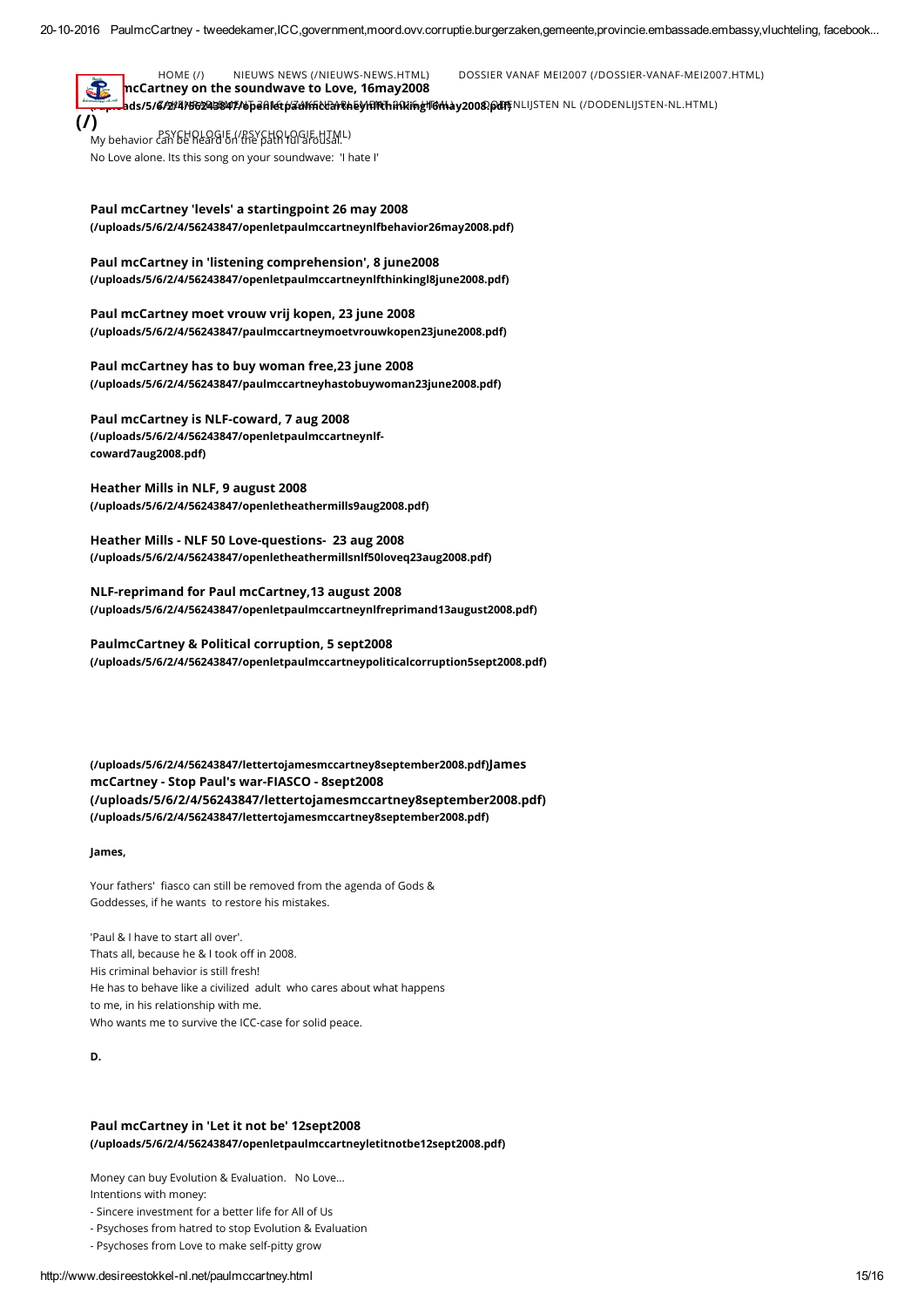

 $rac{1}{2}$  mcCartney on the soundwave to Love, 16 may 2008 [HOME](http://www.desireestokkel-nl.net/) (/) NIEUWS NEWS [\(/NIEUWS-NEWS.HTML\)](http://www.desireestokkel-nl.net/nieuws-news.html) DOSSIER VANAF MEI2007 [\(/DOSSIER-VANAF-MEI2007.HTML\)](http://www.desireestokkel-nl.net/dossier-vanaf-mei2007.html)

[\(/uploads/5/6/2/4/56243847/openletpaulmccartneynlfthinking16may2008.pdf\)](http://www.desireestokkel-nl.net/uploads/5/6/2/4/56243847/openletpaulmccartneynlfthinking16may2008.pdf) ZAKENPARLEMENT 2016 (/ZAKENPARLEMENT-2016.HTML) DODENLIJSTEN NL [\(/DODENLIJSTEN-NL.HTML\)](http://www.desireestokkel-nl.net/dodenlijsten-nl.html)

My behavior can be heard on the path ful arousal." No Love alone. Its this song on your soundwave: 'I hate I' [\(/\)](http://www.desireestokkel-nl.net/) PSYCHOLOGIE [\(/PSYCHOLOGIE.HTML\)](http://www.desireestokkel-nl.net/psychologie.html)

Paul mcCartney 'levels' a startingpoint 26 may 2008 [\(/uploads/5/6/2/4/56243847/openletpaulmccartneynlfbehavior26may2008.pdf\)](http://www.desireestokkel-nl.net/uploads/5/6/2/4/56243847/openletpaulmccartneynlfbehavior26may2008.pdf)

Paul mcCartney in 'listening comprehension', 8 june2008 [\(/uploads/5/6/2/4/56243847/openletpaulmccartneynlfthinkingl8june2008.pdf\)](http://www.desireestokkel-nl.net/uploads/5/6/2/4/56243847/openletpaulmccartneynlfthinkingl8june2008.pdf)

Paul mcCartney moet vrouw vrij kopen, 23 june 2008 [\(/uploads/5/6/2/4/56243847/paulmccartneymoetvrouwkopen23june2008.pdf\)](http://www.desireestokkel-nl.net/uploads/5/6/2/4/56243847/paulmccartneymoetvrouwkopen23june2008.pdf)

Paul mcCartney has to buy woman free,23 june 2008 [\(/uploads/5/6/2/4/56243847/paulmccartneyhastobuywoman23june2008.pdf\)](http://www.desireestokkel-nl.net/uploads/5/6/2/4/56243847/paulmccartneyhastobuywoman23june2008.pdf)

Paul mcCartney is NLF-coward, 7 aug 2008 [\(/uploads/5/6/2/4/56243847/openletpaulmccartneynlf](http://www.desireestokkel-nl.net/uploads/5/6/2/4/56243847/openletpaulmccartneynlf-coward7aug2008.pdf)coward7aug2008.pdf)

Heather Mills in NLF, 9 august 2008 [\(/uploads/5/6/2/4/56243847/openletheathermills9aug2008.pdf\)](http://www.desireestokkel-nl.net/uploads/5/6/2/4/56243847/openletheathermills9aug2008.pdf)

Heather Mills - NLF 50 Love-questions- 23 aug 2008 [\(/uploads/5/6/2/4/56243847/openletheathermillsnlf50loveq23aug2008.pdf\)](http://www.desireestokkel-nl.net/uploads/5/6/2/4/56243847/openletheathermillsnlf50loveq23aug2008.pdf)

NLF-reprimand for Paul mcCartney,13 august 2008 [\(/uploads/5/6/2/4/56243847/openletpaulmccartneynlfreprimand13august2008.pdf\)](http://www.desireestokkel-nl.net/uploads/5/6/2/4/56243847/openletpaulmccartneynlfreprimand13august2008.pdf)

PaulmcCartney & Political corruption, 5 sept2008 [\(/uploads/5/6/2/4/56243847/openletpaulmccartneypoliticalcorruption5sept2008.pdf\)](http://www.desireestokkel-nl.net/uploads/5/6/2/4/56243847/openletpaulmccartneypoliticalcorruption5sept2008.pdf)

[\(/uploads/5/6/2/4/56243847/lettertojamesmccartney8september2008.pdf\)](http://www.desireestokkel-nl.net/uploads/5/6/2/4/56243847/lettertojamesmccartney8september2008.pdf)James mcCartney - Stop Paul's war-FIASCO - 8sept2008 [\(/uploads/5/6/2/4/56243847/lettertojamesmccartney8september2008.pdf\)](http://www.desireestokkel-nl.net/uploads/5/6/2/4/56243847/lettertojamesmccartney8september2008.pdf) [\(/uploads/5/6/2/4/56243847/lettertojamesmccartney8september2008.pdf\)](http://www.desireestokkel-nl.net/uploads/5/6/2/4/56243847/lettertojamesmccartney8september2008.pdf)

#### James,

Your fathers' fiasco can still be removed from the agenda of Gods & Goddesses, if he wants to restore his mistakes.

'Paul & I have to start all over'. Thats all, because he & I took off in 2008. His criminal behavior is still fresh! He has to behave like a civilized adult who cares about what happens to me, in his relationship with me. Who wants me to survive the ICC-case for solid peace.

D.

# Paul mcCartney in 'Let it not be' 12sept2008 [\(/uploads/5/6/2/4/56243847/openletpaulmccartneyletitnotbe12sept2008.pdf\)](http://www.desireestokkel-nl.net/uploads/5/6/2/4/56243847/openletpaulmccartneyletitnotbe12sept2008.pdf)

Money can buy Evolution & Evaluation. No Love... Intentions with money:

- Sincere investment for a better life for All of Us

- Psychoses from hatred to stop Evolution & Evaluation

- Psychoses from Love to make self-pitty grow